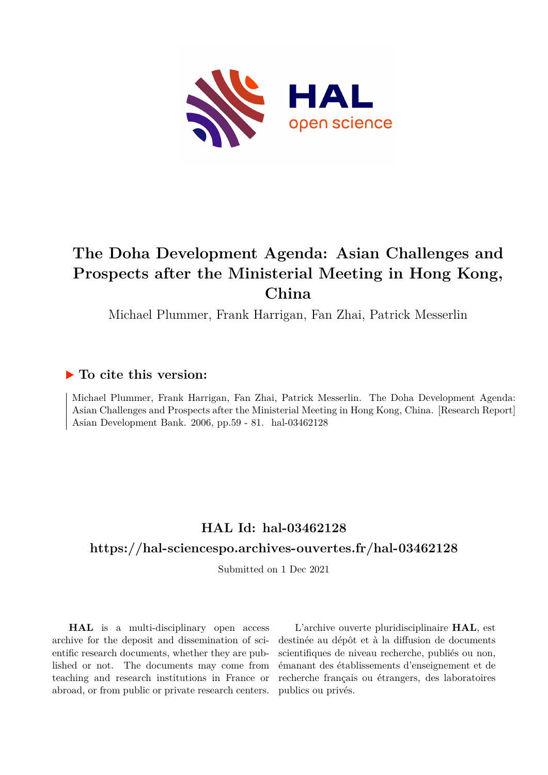

# **The Doha Development Agenda: Asian Challenges and Prospects after the Ministerial Meeting in Hong Kong, China**

Michael Plummer, Frank Harrigan, Fan Zhai, Patrick Messerlin

# **To cite this version:**

Michael Plummer, Frank Harrigan, Fan Zhai, Patrick Messerlin. The Doha Development Agenda: Asian Challenges and Prospects after the Ministerial Meeting in Hong Kong, China. [Research Report] Asian Development Bank. 2006, pp.59 - 81. hal-03462128

# **HAL Id: hal-03462128 <https://hal-sciencespo.archives-ouvertes.fr/hal-03462128>**

Submitted on 1 Dec 2021

**HAL** is a multi-disciplinary open access archive for the deposit and dissemination of scientific research documents, whether they are published or not. The documents may come from teaching and research institutions in France or abroad, or from public or private research centers.

L'archive ouverte pluridisciplinaire **HAL**, est destinée au dépôt et à la diffusion de documents scientifiques de niveau recherche, publiés ou non, émanant des établissements d'enseignement et de recherche français ou étrangers, des laboratoires publics ou privés.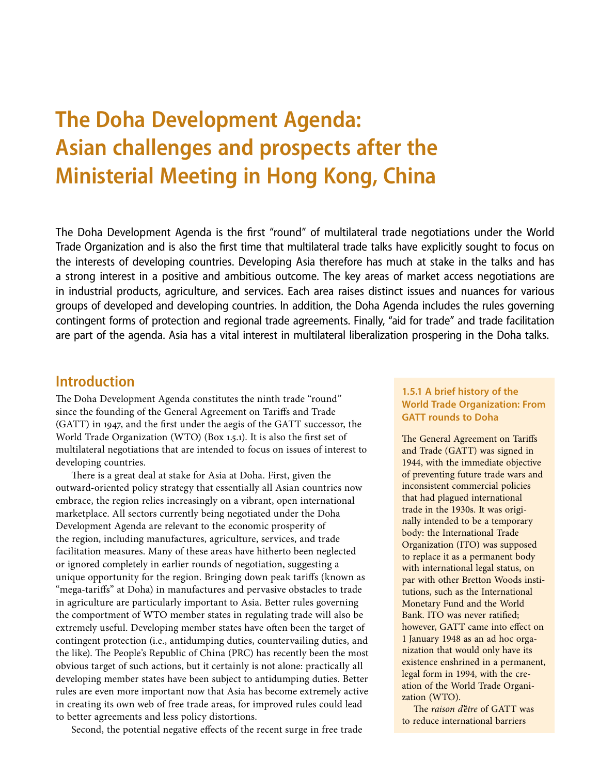# **The Doha Development Agenda: Asian challenges and prospects after the Ministerial Meeting in Hong Kong, China**

The Doha Development Agenda is the first "round" of multilateral trade negotiations under the World Trade Organization and is also the first time that multilateral trade talks have explicitly sought to focus on the interests of developing countries. Developing Asia therefore has much at stake in the talks and has a strong interest in a positive and ambitious outcome. The key areas of market access negotiations are in industrial products, agriculture, and services. Each area raises distinct issues and nuances for various groups of developed and developing countries. In addition, the Doha Agenda includes the rules governing contingent forms of protection and regional trade agreements. Finally, "aid for trade" and trade facilitation are part of the agenda. Asia has a vital interest in multilateral liberalization prospering in the Doha talks.

## **Introduction**

The Doha Development Agenda constitutes the ninth trade "round" since the founding of the General Agreement on Tariffs and Trade (GATT) in 1947, and the first under the aegis of the GATT successor, the World Trade Organization (WTO) (Box 1.5.1). It is also the first set of multilateral negotiations that are intended to focus on issues of interest to developing countries.

There is a great deal at stake for Asia at Doha. First, given the outward-oriented policy strategy that essentially all Asian countries now embrace, the region relies increasingly on a vibrant, open international marketplace. All sectors currently being negotiated under the Doha Development Agenda are relevant to the economic prosperity of the region, including manufactures, agriculture, services, and trade facilitation measures. Many of these areas have hitherto been neglected or ignored completely in earlier rounds of negotiation, suggesting a unique opportunity for the region. Bringing down peak tariffs (known as "mega-tariffs" at Doha) in manufactures and pervasive obstacles to trade in agriculture are particularly important to Asia. Better rules governing the comportment of WTO member states in regulating trade will also be extremely useful. Developing member states have often been the target of contingent protection (i.e., antidumping duties, countervailing duties, and the like). The People's Republic of China (PRC) has recently been the most obvious target of such actions, but it certainly is not alone: practically all developing member states have been subject to antidumping duties. Better rules are even more important now that Asia has become extremely active in creating its own web of free trade areas, for improved rules could lead to better agreements and less policy distortions.

Second, the potential negative effects of the recent surge in free trade

## **1.5.1 A brief history of the World Trade Organization: From GATT rounds to Doha**

The General Agreement on Tariffs and Trade (GATT) was signed in 1944, with the immediate objective of preventing future trade wars and inconsistent commercial policies that had plagued international trade in the 1930s. It was originally intended to be a temporary body: the International Trade Organization (ITO) was supposed to replace it as a permanent body with international legal status, on par with other Bretton Woods institutions, such as the International Monetary Fund and the World Bank. ITO was never ratified; however, GATT came into effect on 1 January 1948 as an ad hoc organization that would only have its existence enshrined in a permanent, legal form in 1994, with the creation of the World Trade Organization (WTO).

The *raison d'être* of GATT was to reduce international barriers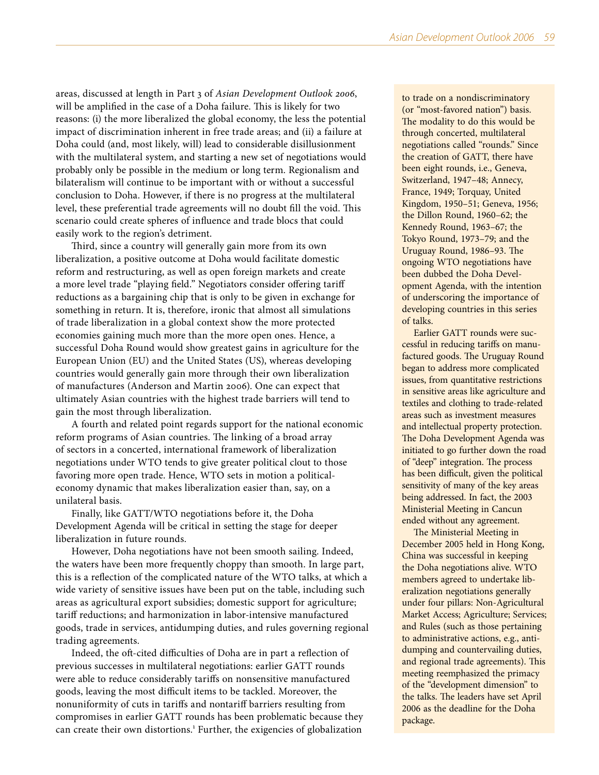areas, discussed at length in Part 3 of *Asian Development Outlook 2006*, will be amplified in the case of a Doha failure. This is likely for two reasons: (i) the more liberalized the global economy, the less the potential impact of discrimination inherent in free trade areas; and (ii) a failure at Doha could (and, most likely, will) lead to considerable disillusionment with the multilateral system, and starting a new set of negotiations would probably only be possible in the medium or long term. Regionalism and bilateralism will continue to be important with or without a successful conclusion to Doha. However, if there is no progress at the multilateral level, these preferential trade agreements will no doubt fill the void. This scenario could create spheres of influence and trade blocs that could easily work to the region's detriment.

Third, since a country will generally gain more from its own liberalization, a positive outcome at Doha would facilitate domestic reform and restructuring, as well as open foreign markets and create a more level trade "playing field." Negotiators consider offering tariff reductions as a bargaining chip that is only to be given in exchange for something in return. It is, therefore, ironic that almost all simulations of trade liberalization in a global context show the more protected economies gaining much more than the more open ones. Hence, a successful Doha Round would show greatest gains in agriculture for the European Union (EU) and the United States (US), whereas developing countries would generally gain more through their own liberalization of manufactures (Anderson and Martin 2006). One can expect that ultimately Asian countries with the highest trade barriers will tend to gain the most through liberalization.

A fourth and related point regards support for the national economic reform programs of Asian countries. The linking of a broad array of sectors in a concerted, international framework of liberalization negotiations under WTO tends to give greater political clout to those favoring more open trade. Hence, WTO sets in motion a politicaleconomy dynamic that makes liberalization easier than, say, on a unilateral basis.

Finally, like GATT/WTO negotiations before it, the Doha Development Agenda will be critical in setting the stage for deeper liberalization in future rounds.

However, Doha negotiations have not been smooth sailing. Indeed, the waters have been more frequently choppy than smooth. In large part, this is a reflection of the complicated nature of the WTO talks, at which a wide variety of sensitive issues have been put on the table, including such areas as agricultural export subsidies; domestic support for agriculture; tariff reductions; and harmonization in labor-intensive manufactured goods, trade in services, antidumping duties, and rules governing regional trading agreements.

Indeed, the oft-cited difficulties of Doha are in part a reflection of previous successes in multilateral negotiations: earlier GATT rounds were able to reduce considerably tariffs on nonsensitive manufactured goods, leaving the most difficult items to be tackled. Moreover, the nonuniformity of cuts in tariffs and nontariff barriers resulting from compromises in earlier GATT rounds has been problematic because they can create their own distortions.<sup>1</sup> Further, the exigencies of globalization

to trade on a nondiscriminatory (or "most-favored nation") basis. The modality to do this would be through concerted, multilateral negotiations called "rounds." Since the creation of GATT, there have been eight rounds, i.e., Geneva, Switzerland, 1947–48; Annecy, France, 1949; Torquay, United Kingdom, 1950–51; Geneva, 1956; the Dillon Round, 1960–62; the Kennedy Round, 1963–67; the Tokyo Round, 1973–79; and the Uruguay Round, 1986–93. The ongoing WTO negotiations have been dubbed the Doha Development Agenda, with the intention of underscoring the importance of developing countries in this series of talks.

Earlier GATT rounds were successful in reducing tariffs on manufactured goods. The Uruguay Round began to address more complicated issues, from quantitative restrictions in sensitive areas like agriculture and textiles and clothing to trade-related areas such as investment measures and intellectual property protection. The Doha Development Agenda was initiated to go further down the road of "deep" integration. The process has been difficult, given the political sensitivity of many of the key areas being addressed. In fact, the 2003 Ministerial Meeting in Cancun ended without any agreement.

The Ministerial Meeting in December 2005 held in Hong Kong, China was successful in keeping the Doha negotiations alive. WTO members agreed to undertake liberalization negotiations generally under four pillars: Non-Agricultural Market Access; Agriculture; Services; and Rules (such as those pertaining to administrative actions, e.g., antidumping and countervailing duties, and regional trade agreements). This meeting reemphasized the primacy of the "development dimension" to the talks. The leaders have set April 2006 as the deadline for the Doha package.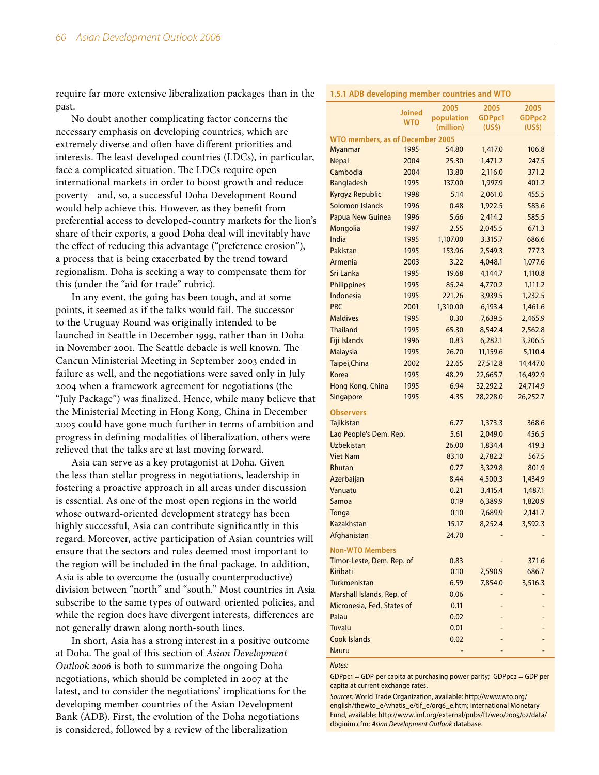require far more extensive liberalization packages than in the past.

No doubt another complicating factor concerns the necessary emphasis on developing countries, which are extremely diverse and often have different priorities and interests. The least-developed countries (LDCs), in particular, face a complicated situation. The LDCs require open international markets in order to boost growth and reduce poverty—and, so, a successful Doha Development Round would help achieve this. However, as they benefit from preferential access to developed-country markets for the lion's share of their exports, a good Doha deal will inevitably have the effect of reducing this advantage ("preference erosion"), a process that is being exacerbated by the trend toward regionalism. Doha is seeking a way to compensate them for this (under the "aid for trade" rubric).

In any event, the going has been tough, and at some points, it seemed as if the talks would fail. The successor to the Uruguay Round was originally intended to be launched in Seattle in December 1999, rather than in Doha in November 2001. The Seattle debacle is well known. The Cancun Ministerial Meeting in September 2003 ended in failure as well, and the negotiations were saved only in July 2004 when a framework agreement for negotiations (the "July Package") was finalized. Hence, while many believe that the Ministerial Meeting in Hong Kong, China in December 2005 could have gone much further in terms of ambition and progress in defining modalities of liberalization, others were relieved that the talks are at last moving forward.

Asia can serve as a key protagonist at Doha. Given the less than stellar progress in negotiations, leadership in fostering a proactive approach in all areas under discussion is essential. As one of the most open regions in the world whose outward-oriented development strategy has been highly successful, Asia can contribute significantly in this regard. Moreover, active participation of Asian countries will ensure that the sectors and rules deemed most important to the region will be included in the final package. In addition, Asia is able to overcome the (usually counterproductive) division between "north" and "south." Most countries in Asia subscribe to the same types of outward-oriented policies, and while the region does have divergent interests, differences are not generally drawn along north-south lines.

In short, Asia has a strong interest in a positive outcome at Doha. The goal of this section of *Asian Development Outlook 2006* is both to summarize the ongoing Doha negotiations, which should be completed in 2007 at the latest, and to consider the negotiations' implications for the developing member countries of the Asian Development Bank (ADB). First, the evolution of the Doha negotiations is considered, followed by a review of the liberalization

|                                         | Joined     | 2005       | 2005     | 2005     |
|-----------------------------------------|------------|------------|----------|----------|
|                                         | <b>WTO</b> | population | GDPpc1   | GDPpc2   |
|                                         |            | (million)  | (US\$)   | (US\$)   |
| <b>WTO members, as of December 2005</b> |            |            |          |          |
| <b>Myanmar</b>                          | 1995       | 54.80      | 1,417.0  | 106.8    |
| <b>Nepal</b>                            | 2004       | 25.30      | 1,471.2  | 247.5    |
| Cambodia                                | 2004       | 13.80      | 2,116.0  | 371.2    |
| <b>Bangladesh</b>                       | 1995       | 137.00     | 1,997.9  | 401.2    |
| Kyrgyz Republic                         | 1998       | 5.14       | 2,061.0  | 455.5    |
| <b>Solomon Islands</b>                  | 1996       | 0.48       | 1,922.5  | 583.6    |
| <b>Papua New Guinea</b>                 | 1996       | 5.66       | 2,414.2  | 585.5    |
| Mongolia                                | 1997       | 2.55       | 2,045.5  | 671.3    |
| India                                   | 1995       | 1,107.00   | 3,315.7  | 686.6    |
| Pakistan                                | 1995       | 153.96     | 2,549.3  | 777.3    |
| Armenia                                 | 2003       | 3.22       | 4,048.1  | 1,077.6  |
| Sri Lanka                               | 1995       | 19.68      | 4,144.7  | 1,110.8  |
| Philippines                             | 1995       | 85.24      | 4,770.2  | 1,111.2  |
| Indonesia                               | 1995       | 221.26     | 3,939.5  | 1,232.5  |
| <b>PRC</b>                              | 2001       | 1,310.00   | 6,193.4  | 1,461.6  |
| <b>Maldives</b>                         | 1995       | 0.30       | 7,639.5  | 2,465.9  |
| <b>Thailand</b>                         | 1995       | 65.30      | 8,542.4  | 2,562.8  |
| Fiji Islands                            | 1996       | 0.83       | 6,282.1  | 3,206.5  |
| <b>Malaysia</b>                         | 1995       | 26.70      | 11,159.6 | 5,110.4  |
| Taipei, China                           | 2002       | 22.65      | 27,512.8 | 14,447.0 |
| Korea                                   | 1995       | 48.29      | 22,665.7 | 16,492.9 |
| Hong Kong, China                        | 1995       | 6.94       | 32,292.2 | 24,714.9 |
| Singapore                               | 1995       | 4.35       | 28,228.0 | 26,252.7 |
|                                         |            |            |          |          |
| <b>Observers</b>                        |            |            |          |          |
| Tajikistan                              |            | 6.77       | 1,373.3  | 368.6    |
| Lao People's Dem. Rep.                  |            | 5.61       | 2,049.0  | 456.5    |
| <b>Uzbekistan</b>                       |            | 26.00      | 1,834.4  | 419.3    |
| <b>Viet Nam</b>                         |            | 83.10      | 2,782.2  | 567.5    |
| <b>Bhutan</b>                           |            | 0.77       | 3,329.8  | 801.9    |
| Azerbaijan                              |            | 8.44       | 4,500.3  | 1,434.9  |
| Vanuatu                                 |            | 0.21       | 3,415.4  | 1,487.1  |
| Samoa                                   |            | 0.19       | 6,389.9  | 1,820.9  |
| Tonga                                   |            | 0.10       | 7,689.9  | 2,141.7  |
| <b>Kazakhstan</b>                       |            | 15.17      | 8,252.4  | 3,592.3  |
| Afghanistan                             |            | 24.70      |          |          |
| <b>Non-WTO Members</b>                  |            |            |          |          |
| Timor-Leste, Dem. Rep. of               |            | 0.83       |          | 371.6    |
| Kiribati                                |            | 0.10       | 2,590.9  | 686.7    |
| Turkmenistan                            |            | 6.59       | 7,854.0  | 3,516.3  |
| Marshall Islands, Rep. of               |            | 0.06       |          |          |
| Micronesia, Fed. States of              |            | 0.11       |          |          |
| Palau                                   |            | 0.02       |          |          |
| <b>Tuvalu</b>                           |            | 0.01       |          |          |
| Cook Islands                            |            | 0.02       |          |          |
| <b>Nauru</b>                            |            |            |          |          |
|                                         |            |            |          |          |

*Notes:*

GDPpc1 = GDP per capita at purchasing power parity; GDPpc2 = GDP per capita at current exchange rates.

*Sources:* World Trade Organization, available: [http://www.wto.org/](http://www.wto.org/english/thewto_e/whatis_e/tif_e/org6_e.htm) [english/thewto\\_e/whatis\\_e/tif\\_e/org6\\_e.htm;](http://www.wto.org/english/thewto_e/whatis_e/tif_e/org6_e.htm) International Monetary Fund, available: [http://www.imf.org/external/pubs/ft/weo/2005/02/data/](http://www.imf.org/external/pubs/ft/weo/2005/02/data/dbginim.cfm) [dbginim.cfm;](http://www.imf.org/external/pubs/ft/weo/2005/02/data/dbginim.cfm) *Asian Development Outlook* database.

#### **1.5.1 ADB developing member countries and WTO**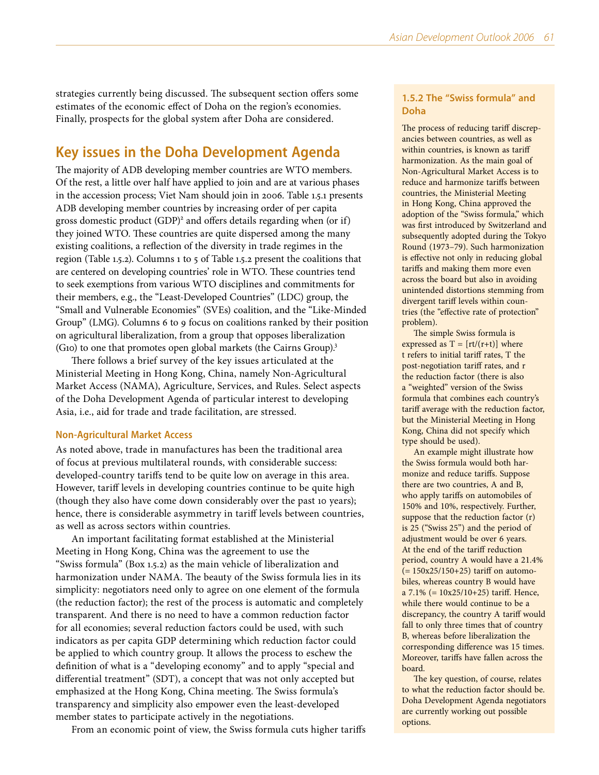strategies currently being discussed. The subsequent section offers some estimates of the economic effect of Doha on the region's economies. Finally, prospects for the global system after Doha are considered.

# **Key issues in the Doha Development Agenda**

The majority of ADB developing member countries are WTO members. Of the rest, a little over half have applied to join and are at various phases in the accession process; Viet Nam should join in 2006. Table 1.5.1 presents ADB developing member countries by increasing order of per capita gross domestic product (GDP)<sup>2</sup> and offers details regarding when (or if) they joined WTO. These countries are quite dispersed among the many existing coalitions, a reflection of the diversity in trade regimes in the region (Table 1.5.2). Columns 1 to 5 of Table 1.5.2 present the coalitions that are centered on developing countries' role in WTO. These countries tend to seek exemptions from various WTO disciplines and commitments for their members, e.g., the "Least-Developed Countries" (LDC) group, the "Small and Vulnerable Economies" (SVEs) coalition, and the "Like-Minded Group" (LMG). Columns 6 to 9 focus on coalitions ranked by their position on agricultural liberalization, from a group that opposes liberalization (G10) to one that promotes open global markets (the Cairns Group).3

There follows a brief survey of the key issues articulated at the Ministerial Meeting in Hong Kong, China, namely Non-Agricultural Market Access (NAMA), Agriculture, Services, and Rules. Select aspects of the Doha Development Agenda of particular interest to developing Asia, i.e., aid for trade and trade facilitation, are stressed.

## **Non-Agricultural Market Access**

As noted above, trade in manufactures has been the traditional area of focus at previous multilateral rounds, with considerable success: developed-country tariffs tend to be quite low on average in this area. However, tariff levels in developing countries continue to be quite high (though they also have come down considerably over the past 10 years); hence, there is considerable asymmetry in tariff levels between countries, as well as across sectors within countries.

An important facilitating format established at the Ministerial Meeting in Hong Kong, China was the agreement to use the "Swiss formula" (Box 1.5.2) as the main vehicle of liberalization and harmonization under NAMA. The beauty of the Swiss formula lies in its simplicity: negotiators need only to agree on one element of the formula (the reduction factor); the rest of the process is automatic and completely transparent. And there is no need to have a common reduction factor for all economies; several reduction factors could be used, with such indicators as per capita GDP determining which reduction factor could be applied to which country group. It allows the process to eschew the definition of what is a "developing economy" and to apply "special and differential treatment" (SDT), a concept that was not only accepted but emphasized at the Hong Kong, China meeting. The Swiss formula's transparency and simplicity also empower even the least-developed member states to participate actively in the negotiations.

From an economic point of view, the Swiss formula cuts higher tariffs

## **1.5.2 The "Swiss formula" and Doha**

The process of reducing tariff discrepancies between countries, as well as within countries, is known as tariff harmonization. As the main goal of Non-Agricultural Market Access is to reduce and harmonize tariffs between countries, the Ministerial Meeting in Hong Kong, China approved the adoption of the "Swiss formula," which was first introduced by Switzerland and subsequently adopted during the Tokyo Round (1973–79). Such harmonization is effective not only in reducing global tariffs and making them more even across the board but also in avoiding unintended distortions stemming from divergent tariff levels within countries (the "effective rate of protection" problem).

The simple Swiss formula is expressed as  $T = [rt/(r+t)]$  where t refers to initial tariff rates, T the post-negotiation tariff rates, and r the reduction factor (there is also a "weighted" version of the Swiss formula that combines each country's tariff average with the reduction factor, but the Ministerial Meeting in Hong Kong, China did not specify which type should be used).

An example might illustrate how the Swiss formula would both harmonize and reduce tariffs. Suppose there are two countries, A and B, who apply tariffs on automobiles of 150% and 10%, respectively. Further, suppose that the reduction factor (r) is 25 ("Swiss 25") and the period of adjustment would be over 6 years. At the end of the tariff reduction period, country A would have a 21.4%  $(= 150x25/150+25)$  tariff on automobiles, whereas country B would have a 7.1% (= 10x25/10+25) tariff. Hence, while there would continue to be a discrepancy, the country A tariff would fall to only three times that of country B, whereas before liberalization the corresponding difference was 15 times. Moreover, tariffs have fallen across the board.

The key question, of course, relates to what the reduction factor should be. Doha Development Agenda negotiators are currently working out possible options.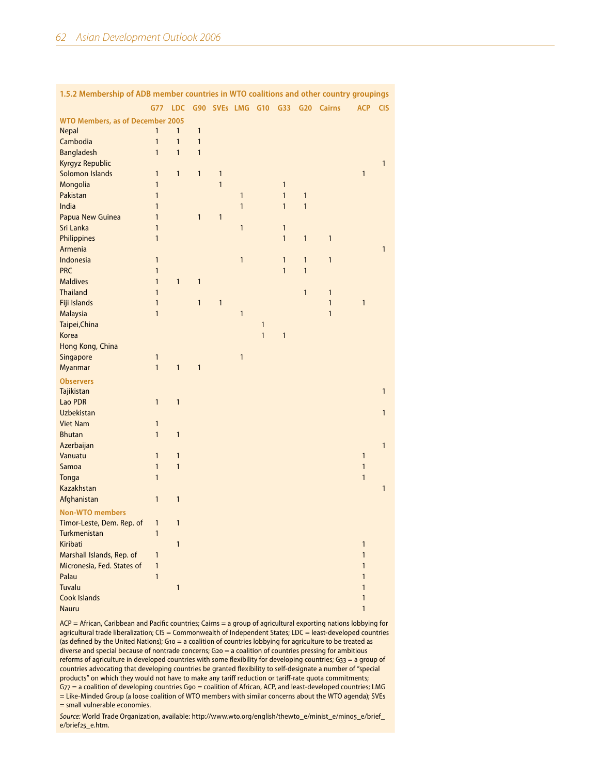| 1.5.2 Membership of ADB member countries in WTO coalitions and other country groupings |              |              |              |              |              |              |              |              |                                 |              |              |
|----------------------------------------------------------------------------------------|--------------|--------------|--------------|--------------|--------------|--------------|--------------|--------------|---------------------------------|--------------|--------------|
|                                                                                        | G77          | <b>LDC</b>   |              |              |              |              |              |              | G90 SVEs LMG G10 G33 G20 Cairns | <b>ACP</b>   | <b>CIS</b>   |
| <b>WTO Members, as of December 2005</b>                                                |              |              |              |              |              |              |              |              |                                 |              |              |
| <b>Nepal</b>                                                                           | 1            | 1            | 1            |              |              |              |              |              |                                 |              |              |
| Cambodia                                                                               | $\mathbf{1}$ | $\mathbf{1}$ | $\mathbf{1}$ |              |              |              |              |              |                                 |              |              |
| <b>Bangladesh</b>                                                                      | $\mathbf{1}$ | $\mathbf{1}$ | $\mathbf{1}$ |              |              |              |              |              |                                 |              |              |
| <b>Kyrgyz Republic</b>                                                                 |              |              |              |              |              |              |              |              |                                 |              | 1            |
| Solomon Islands                                                                        | $\mathbf{1}$ | $\mathbf{1}$ | $\mathbf{1}$ | $\mathbf{1}$ |              |              |              |              |                                 | $\mathbf{1}$ |              |
| Mongolia                                                                               | $\mathbf{1}$ |              |              | $\mathbf{1}$ |              |              | $\mathbf{1}$ |              |                                 |              |              |
| Pakistan                                                                               | $\mathbf{1}$ |              |              |              | $\mathbf{1}$ |              | $\mathbf{1}$ | 1            |                                 |              |              |
| India                                                                                  | $\mathbf{1}$ |              |              |              | $\mathbf{1}$ |              | $\mathbf{1}$ | $\mathbf{1}$ |                                 |              |              |
| Papua New Guinea                                                                       | $\mathbf{1}$ |              | $\mathbf{1}$ | $\mathbf{1}$ |              |              |              |              |                                 |              |              |
| Sri Lanka                                                                              | $\mathbf{1}$ |              |              |              | $\mathbf{1}$ |              | $\mathbf{1}$ |              |                                 |              |              |
| Philippines                                                                            | $\mathbf{1}$ |              |              |              |              |              | $\mathbf{1}$ | $\mathbf{1}$ | $\mathbf{1}$                    |              |              |
| Armenia                                                                                |              |              |              |              |              |              |              |              |                                 |              | $\mathbf{1}$ |
| Indonesia                                                                              | $\mathbf{1}$ |              |              |              | $\mathbf{1}$ |              | $\mathbf{1}$ | $\mathbf{1}$ | $\mathbf{1}$                    |              |              |
| <b>PRC</b>                                                                             | $\mathbf{1}$ |              |              |              |              |              | $\mathbf{1}$ | $\mathbf{1}$ |                                 |              |              |
| <b>Maldives</b>                                                                        | $\mathbf{1}$ | $\mathbf{1}$ | $\mathbf{1}$ |              |              |              |              |              |                                 |              |              |
| <b>Thailand</b>                                                                        | $\mathbf{1}$ |              |              |              |              |              |              | $\mathbf{1}$ | $\mathbf{1}$                    |              |              |
| Fiji Islands                                                                           | $\mathbf{1}$ |              | $\mathbf{1}$ | $\mathbf{1}$ |              |              |              |              | $\mathbf{1}$                    | $\mathbf{1}$ |              |
| <b>Malaysia</b>                                                                        | $\mathbf{1}$ |              |              |              | $\mathbf{1}$ |              |              |              | $\mathbf{1}$                    |              |              |
| Taipei, China                                                                          |              |              |              |              |              | $\mathbf{1}$ |              |              |                                 |              |              |
| <b>Korea</b>                                                                           |              |              |              |              |              | $\mathbf{1}$ | $\mathbf{1}$ |              |                                 |              |              |
| Hong Kong, China                                                                       |              |              |              |              |              |              |              |              |                                 |              |              |
| Singapore                                                                              | 1            |              |              |              | $\mathbf{1}$ |              |              |              |                                 |              |              |
|                                                                                        | $\mathbf{1}$ | $\mathbf{1}$ | $\mathbf{1}$ |              |              |              |              |              |                                 |              |              |
| <b>Myanmar</b>                                                                         |              |              |              |              |              |              |              |              |                                 |              |              |
| <b>Observers</b>                                                                       |              |              |              |              |              |              |              |              |                                 |              |              |
| Tajikistan                                                                             |              |              |              |              |              |              |              |              |                                 |              | $\mathbf{1}$ |
| Lao PDR                                                                                | $\mathbf{1}$ | $\mathbf{1}$ |              |              |              |              |              |              |                                 |              |              |
| <b>Uzbekistan</b>                                                                      |              |              |              |              |              |              |              |              |                                 |              | 1            |
| <b>Viet Nam</b>                                                                        | 1            |              |              |              |              |              |              |              |                                 |              |              |
| <b>Bhutan</b>                                                                          | $\mathbf{1}$ | $\mathbf{1}$ |              |              |              |              |              |              |                                 |              |              |
| Azerbaijan                                                                             |              |              |              |              |              |              |              |              |                                 |              | 1            |
| Vanuatu                                                                                | $\mathbf{1}$ | $\mathbf{1}$ |              |              |              |              |              |              |                                 | $\mathbf{1}$ |              |
| Samoa                                                                                  | $\mathbf{1}$ | $\mathbf{1}$ |              |              |              |              |              |              |                                 | $\mathbf{1}$ |              |
| Tonga                                                                                  | $\mathbf{1}$ |              |              |              |              |              |              |              |                                 | $\mathbf{1}$ |              |
| Kazakhstan                                                                             |              |              |              |              |              |              |              |              |                                 |              | $\mathbf{1}$ |
| Afghanistan                                                                            | $\mathbf{1}$ | $\mathbf{1}$ |              |              |              |              |              |              |                                 |              |              |
| <b>Non-WTO members</b>                                                                 |              |              |              |              |              |              |              |              |                                 |              |              |
| Timor-Leste, Dem. Rep. of                                                              | 1            | $\mathbf{1}$ |              |              |              |              |              |              |                                 |              |              |
| Turkmenistan                                                                           | $\mathbf{1}$ |              |              |              |              |              |              |              |                                 |              |              |
| Kiribati                                                                               |              | 1            |              |              |              |              |              |              |                                 | 1            |              |
| Marshall Islands, Rep. of                                                              | 1            |              |              |              |              |              |              |              |                                 | $\mathbf{1}$ |              |
| Micronesia, Fed. States of                                                             | $\mathbf{1}$ |              |              |              |              |              |              |              |                                 | 1            |              |
| Palau                                                                                  | $\mathbf{1}$ |              |              |              |              |              |              |              |                                 | $\mathbf{1}$ |              |
| <b>Tuvalu</b>                                                                          |              | 1            |              |              |              |              |              |              |                                 | 1            |              |
| <b>Cook Islands</b>                                                                    |              |              |              |              |              |              |              |              |                                 | 1            |              |
| <b>Nauru</b>                                                                           |              |              |              |              |              |              |              |              |                                 | 1            |              |

ACP = African, Caribbean and Pacific countries; Cairns = a group of agricultural exporting nations lobbying for agricultural trade liberalization; CIS = Commonwealth of Independent States; LDC = least-developed countries (as defined by the United Nations); G10 = a coalition of countries lobbying for agriculture to be treated as diverse and special because of nontrade concerns; G20 = a coalition of countries pressing for ambitious reforms of agriculture in developed countries with some flexibility for developing countries; G33 = a group of countries advocating that developing countries be granted flexibility to self-designate a number of "special products" on which they would not have to make any tariff reduction or tariff-rate quota commitments; G77 = a coalition of developing countries G90 = coalition of African, ACP, and least-developed countries; LMG = Like-Minded Group (a loose coalition of WTO members with similar concerns about the WTO agenda); SVEs = small vulnerable economies.

*Source:* World Trade Organization, available: [http://www.wto.org/english/thewto\\_e/minist\\_e/min05\\_e/brief\\_](http://www.wto.org/english/thewto_e/minist_e/min05_e/brief_e/brief25_e.htm) [e/brief25\\_e.htm](http://www.wto.org/english/thewto_e/minist_e/min05_e/brief_e/brief25_e.htm).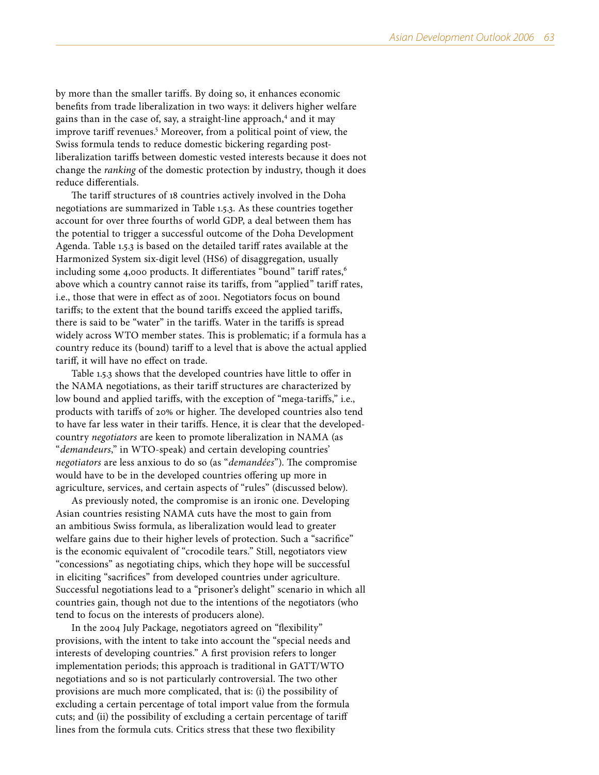by more than the smaller tariffs. By doing so, it enhances economic benefits from trade liberalization in two ways: it delivers higher welfare gains than in the case of, say, a straight-line approach,<sup>4</sup> and it may improve tariff revenues.<sup>5</sup> Moreover, from a political point of view, the Swiss formula tends to reduce domestic bickering regarding postliberalization tariffs between domestic vested interests because it does not change the *ranking* of the domestic protection by industry, though it does reduce differentials.

The tariff structures of 18 countries actively involved in the Doha negotiations are summarized in Table 1.5.3. As these countries together account for over three fourths of world GDP, a deal between them has the potential to trigger a successful outcome of the Doha Development Agenda. Table 1.5.3 is based on the detailed tariff rates available at the Harmonized System six-digit level (HS6) of disaggregation, usually including some 4,000 products. It differentiates "bound" tariff rates,<sup>6</sup> above which a country cannot raise its tariffs, from "applied" tariff rates, i.e., those that were in effect as of 2001. Negotiators focus on bound tariffs; to the extent that the bound tariffs exceed the applied tariffs, there is said to be "water" in the tariffs. Water in the tariffs is spread widely across WTO member states. This is problematic; if a formula has a country reduce its (bound) tariff to a level that is above the actual applied tariff, it will have no effect on trade.

Table 1.5.3 shows that the developed countries have little to offer in the NAMA negotiations, as their tariff structures are characterized by low bound and applied tariffs, with the exception of "mega-tariffs," i.e., products with tariffs of 20% or higher. The developed countries also tend to have far less water in their tariffs. Hence, it is clear that the developedcountry *negotiators* are keen to promote liberalization in NAMA (as "*demandeurs*," in WTO-speak) and certain developing countries' *negotiators* are less anxious to do so (as "*demandées*"). The compromise would have to be in the developed countries offering up more in agriculture, services, and certain aspects of "rules" (discussed below).

As previously noted, the compromise is an ironic one. Developing Asian countries resisting NAMA cuts have the most to gain from an ambitious Swiss formula, as liberalization would lead to greater welfare gains due to their higher levels of protection. Such a "sacrifice" is the economic equivalent of "crocodile tears." Still, negotiators view "concessions" as negotiating chips, which they hope will be successful in eliciting "sacrifices" from developed countries under agriculture. Successful negotiations lead to a "prisoner's delight" scenario in which all countries gain, though not due to the intentions of the negotiators (who tend to focus on the interests of producers alone).

In the 2004 July Package, negotiators agreed on "flexibility" provisions, with the intent to take into account the "special needs and interests of developing countries." A first provision refers to longer implementation periods; this approach is traditional in GATT/WTO negotiations and so is not particularly controversial. The two other provisions are much more complicated, that is: (i) the possibility of excluding a certain percentage of total import value from the formula cuts; and (ii) the possibility of excluding a certain percentage of tariff lines from the formula cuts. Critics stress that these two flexibility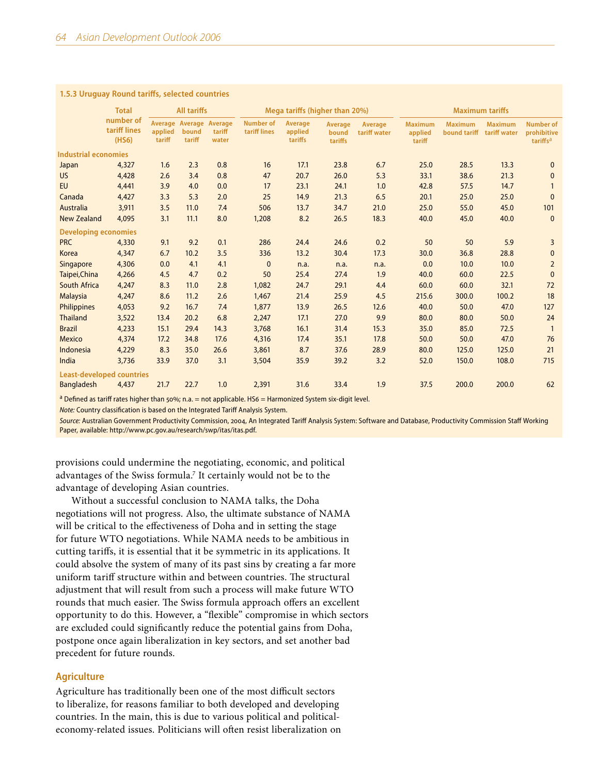#### **1.5.3 Uruguay Round tariffs, selected countries**

|                                    | <b>Total</b>      |                                            | <b>All tariffs</b> |                                  |                               | Mega tariffs (higher than 20%) |                         |                                     |                                | <b>Maximum tariffs</b>         |                                                         |                |  |
|------------------------------------|-------------------|--------------------------------------------|--------------------|----------------------------------|-------------------------------|--------------------------------|-------------------------|-------------------------------------|--------------------------------|--------------------------------|---------------------------------------------------------|----------------|--|
| number of<br>tariff lines<br>(HS6) | applied<br>tariff | Average Average Average<br>bound<br>tariff | tariff<br>water    | <b>Number of</b><br>tariff lines | Average<br>applied<br>tariffs | Average<br>bound<br>tariffs    | Average<br>tariff water | <b>Maximum</b><br>applied<br>tariff | <b>Maximum</b><br>bound tariff | <b>Maximum</b><br>tariff water | <b>Number of</b><br>prohibitive<br>tariffs <sup>a</sup> |                |  |
| <b>Industrial economies</b>        |                   |                                            |                    |                                  |                               |                                |                         |                                     |                                |                                |                                                         |                |  |
| Japan                              | 4,327             | 1.6                                        | 2.3                | 0.8                              | 16                            | 17.1                           | 23.8                    | 6.7                                 | 25.0                           | 28.5                           | 13.3                                                    | $\mathbf{0}$   |  |
| <b>US</b>                          | 4,428             | 2.6                                        | 3.4                | 0.8                              | 47                            | 20.7                           | 26.0                    | 5.3                                 | 33.1                           | 38.6                           | 21.3                                                    | $\Omega$       |  |
| <b>EU</b>                          | 4,441             | 3.9                                        | 4.0                | 0.0                              | 17                            | 23.1                           | 24.1                    | 1.0                                 | 42.8                           | 57.5                           | 14.7                                                    |                |  |
| Canada                             | 4,427             | 3.3                                        | 5.3                | 2.0                              | 25                            | 14.9                           | 21.3                    | 6.5                                 | 20.1                           | 25.0                           | 25.0                                                    | $\mathbf{0}$   |  |
| Australia                          | 3,911             | 3.5                                        | 11.0               | 7.4                              | 506                           | 13.7                           | 34.7                    | 21.0                                | 25.0                           | 55.0                           | 45.0                                                    | 101            |  |
| <b>New Zealand</b>                 | 4,095             | 3.1                                        | 11.1               | 8.0                              | 1,208                         | 8.2                            | 26.5                    | 18.3                                | 40.0                           | 45.0                           | 40.0                                                    | $\mathbf{0}$   |  |
| <b>Developing economies</b>        |                   |                                            |                    |                                  |                               |                                |                         |                                     |                                |                                |                                                         |                |  |
| <b>PRC</b>                         | 4,330             | 9.1                                        | 9.2                | 0.1                              | 286                           | 24.4                           | 24.6                    | 0.2                                 | 50                             | 50                             | 5.9                                                     | $\overline{3}$ |  |
| Korea                              | 4,347             | 6.7                                        | 10.2               | 3.5                              | 336                           | 13.2                           | 30.4                    | 17.3                                | 30.0                           | 36.8                           | 28.8                                                    | $\mathbf{0}$   |  |
| Singapore                          | 4,306             | 0.0                                        | 4.1                | 4.1                              | $\mathbf{0}$                  | n.a.                           | n.a.                    | n.a.                                | 0.0                            | 10.0                           | 10.0                                                    | $\overline{2}$ |  |
| Taipei, China                      | 4,266             | 4.5                                        | 4.7                | 0.2                              | 50                            | 25.4                           | 27.4                    | 1.9                                 | 40.0                           | 60.0                           | 22.5                                                    | $\mathbf{0}$   |  |
| <b>South Africa</b>                | 4,247             | 8.3                                        | 11.0               | 2.8                              | 1,082                         | 24.7                           | 29.1                    | 4.4                                 | 60.0                           | 60.0                           | 32.1                                                    | 72             |  |
| <b>Malaysia</b>                    | 4,247             | 8.6                                        | 11.2               | 2.6                              | 1,467                         | 21.4                           | 25.9                    | 4.5                                 | 215.6                          | 300.0                          | 100.2                                                   | 18             |  |
| Philippines                        | 4,053             | 9.2                                        | 16.7               | 7.4                              | 1,877                         | 13.9                           | 26.5                    | 12.6                                | 40.0                           | 50.0                           | 47.0                                                    | 127            |  |
| <b>Thailand</b>                    | 3,522             | 13.4                                       | 20.2               | 6.8                              | 2,247                         | 17.1                           | 27.0                    | 9.9                                 | 80.0                           | 80.0                           | 50.0                                                    | 24             |  |
| <b>Brazil</b>                      | 4,233             | 15.1                                       | 29.4               | 14.3                             | 3,768                         | 16.1                           | 31.4                    | 15.3                                | 35.0                           | 85.0                           | 72.5                                                    | $\overline{1}$ |  |
| Mexico                             | 4,374             | 17.2                                       | 34.8               | 17.6                             | 4,316                         | 17.4                           | 35.1                    | 17.8                                | 50.0                           | 50.0                           | 47.0                                                    | 76             |  |
| Indonesia                          | 4,229             | 8.3                                        | 35.0               | 26.6                             | 3,861                         | 8.7                            | 37.6                    | 28.9                                | 80.0                           | 125.0                          | 125.0                                                   | 21             |  |
| India                              | 3,736             | 33.9                                       | 37.0               | 3.1                              | 3,504                         | 35.9                           | 39.2                    | 3.2                                 | 52.0                           | 150.0                          | 108.0                                                   | 715            |  |
| <b>Least-developed countries</b>   |                   |                                            |                    |                                  |                               |                                |                         |                                     |                                |                                |                                                         |                |  |
| <b>Bangladesh</b>                  | 4,437             | 21.7                                       | 22.7               | 1.0                              | 2,391                         | 31.6                           | 33.4                    | 1.9                                 | 37.5                           | 200.0                          | 200.0                                                   | 62             |  |

<sup>a</sup> Defined as tariff rates higher than 50%; n.a. = not applicable. HS6 = Harmonized System six-digit level.

*Note:* Country classification is based on the Integrated Tariff Analysis System.

*Source:* Australian Government Productivity Commission, 2004, An Integrated Tariff Analysis System: Software and Database, Productivity Commission Staff Working Paper, available: [http://www.pc.gov.au/research/swp/itas/itas.pdf.](http://www.pc.gov.au/research/swp/itas/itas.pdf)

provisions could undermine the negotiating, economic, and political advantages of the Swiss formula.<sup>7</sup> It certainly would not be to the advantage of developing Asian countries.

Without a successful conclusion to NAMA talks, the Doha negotiations will not progress. Also, the ultimate substance of NAMA will be critical to the effectiveness of Doha and in setting the stage for future WTO negotiations. While NAMA needs to be ambitious in cutting tariffs, it is essential that it be symmetric in its applications. It could absolve the system of many of its past sins by creating a far more uniform tariff structure within and between countries. The structural adjustment that will result from such a process will make future WTO rounds that much easier. The Swiss formula approach offers an excellent opportunity to do this. However, a "flexible" compromise in which sectors are excluded could significantly reduce the potential gains from Doha, postpone once again liberalization in key sectors, and set another bad precedent for future rounds.

## **Agriculture**

Agriculture has traditionally been one of the most difficult sectors to liberalize, for reasons familiar to both developed and developing countries. In the main, this is due to various political and politicaleconomy-related issues. Politicians will often resist liberalization on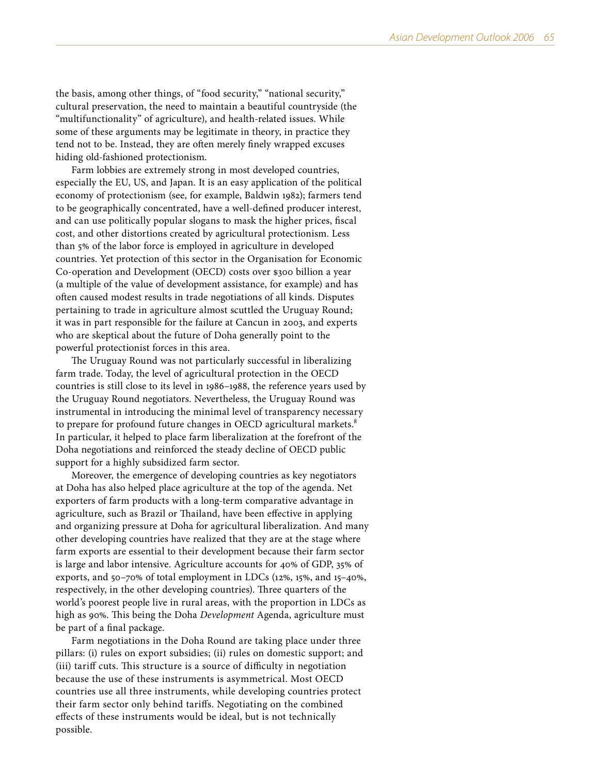the basis, among other things, of "food security," "national security," cultural preservation, the need to maintain a beautiful countryside (the "multifunctionality" of agriculture), and health-related issues. While some of these arguments may be legitimate in theory, in practice they tend not to be. Instead, they are often merely finely wrapped excuses hiding old-fashioned protectionism.

Farm lobbies are extremely strong in most developed countries, especially the EU, US, and Japan. It is an easy application of the political economy of protectionism (see, for example, Baldwin 1982); farmers tend to be geographically concentrated, have a well-defined producer interest, and can use politically popular slogans to mask the higher prices, fiscal cost, and other distortions created by agricultural protectionism. Less than 5% of the labor force is employed in agriculture in developed countries. Yet protection of this sector in the Organisation for Economic Co-operation and Development (OECD) costs over \$300 billion a year (a multiple of the value of development assistance, for example) and has often caused modest results in trade negotiations of all kinds. Disputes pertaining to trade in agriculture almost scuttled the Uruguay Round; it was in part responsible for the failure at Cancun in 2003, and experts who are skeptical about the future of Doha generally point to the powerful protectionist forces in this area.

The Uruguay Round was not particularly successful in liberalizing farm trade. Today, the level of agricultural protection in the OECD countries is still close to its level in 1986–1988, the reference years used by the Uruguay Round negotiators. Nevertheless, the Uruguay Round was instrumental in introducing the minimal level of transparency necessary to prepare for profound future changes in OECD agricultural markets.<sup>8</sup> In particular, it helped to place farm liberalization at the forefront of the Doha negotiations and reinforced the steady decline of OECD public support for a highly subsidized farm sector.

Moreover, the emergence of developing countries as key negotiators at Doha has also helped place agriculture at the top of the agenda. Net exporters of farm products with a long-term comparative advantage in agriculture, such as Brazil or Thailand, have been effective in applying and organizing pressure at Doha for agricultural liberalization. And many other developing countries have realized that they are at the stage where farm exports are essential to their development because their farm sector is large and labor intensive. Agriculture accounts for 40% of GDP, 35% of exports, and 50–70% of total employment in LDCs (12%, 15%, and 15–40%, respectively, in the other developing countries). Three quarters of the world's poorest people live in rural areas, with the proportion in LDCs as high as 90%. This being the Doha *Development* Agenda, agriculture must be part of a final package.

Farm negotiations in the Doha Round are taking place under three pillars: (i) rules on export subsidies; (ii) rules on domestic support; and (iii) tariff cuts. This structure is a source of difficulty in negotiation because the use of these instruments is asymmetrical. Most OECD countries use all three instruments, while developing countries protect their farm sector only behind tariffs. Negotiating on the combined effects of these instruments would be ideal, but is not technically possible.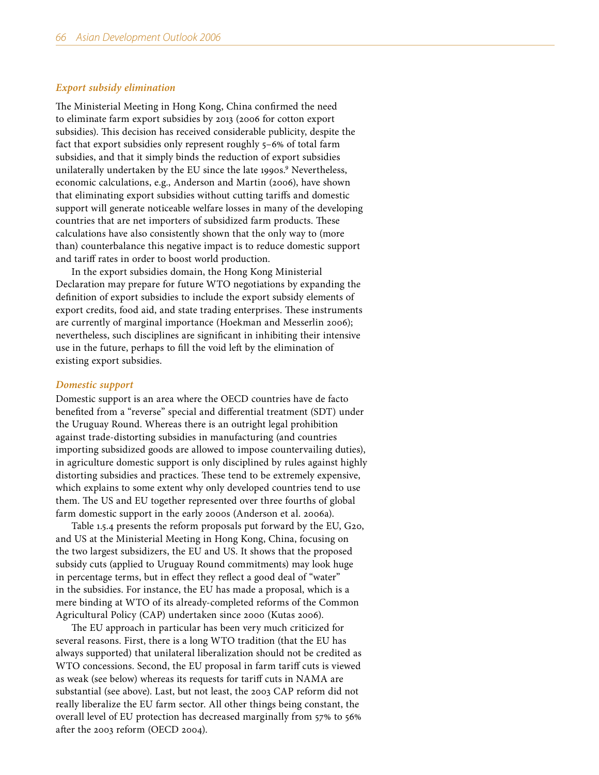## *Export subsidy elimination*

The Ministerial Meeting in Hong Kong, China confirmed the need to eliminate farm export subsidies by 2013 (2006 for cotton export subsidies). This decision has received considerable publicity, despite the fact that export subsidies only represent roughly 5–6% of total farm subsidies, and that it simply binds the reduction of export subsidies unilaterally undertaken by the EU since the late 1990s.<sup>9</sup> Nevertheless, economic calculations, e.g., Anderson and Martin (2006), have shown that eliminating export subsidies without cutting tariffs and domestic support will generate noticeable welfare losses in many of the developing countries that are net importers of subsidized farm products. These calculations have also consistently shown that the only way to (more than) counterbalance this negative impact is to reduce domestic support and tariff rates in order to boost world production.

In the export subsidies domain, the Hong Kong Ministerial Declaration may prepare for future WTO negotiations by expanding the definition of export subsidies to include the export subsidy elements of export credits, food aid, and state trading enterprises. These instruments are currently of marginal importance (Hoekman and Messerlin 2006); nevertheless, such disciplines are significant in inhibiting their intensive use in the future, perhaps to fill the void left by the elimination of existing export subsidies.

## *Domestic support*

Domestic support is an area where the OECD countries have de facto benefited from a "reverse" special and differential treatment (SDT) under the Uruguay Round. Whereas there is an outright legal prohibition against trade-distorting subsidies in manufacturing (and countries importing subsidized goods are allowed to impose countervailing duties), in agriculture domestic support is only disciplined by rules against highly distorting subsidies and practices. These tend to be extremely expensive, which explains to some extent why only developed countries tend to use them. The US and EU together represented over three fourths of global farm domestic support in the early 2000s (Anderson et al. 2006a).

Table 1.5.4 presents the reform proposals put forward by the EU, G20, and US at the Ministerial Meeting in Hong Kong, China, focusing on the two largest subsidizers, the EU and US. It shows that the proposed subsidy cuts (applied to Uruguay Round commitments) may look huge in percentage terms, but in effect they reflect a good deal of "water" in the subsidies. For instance, the EU has made a proposal, which is a mere binding at WTO of its already-completed reforms of the Common Agricultural Policy (CAP) undertaken since 2000 (Kutas 2006).

The EU approach in particular has been very much criticized for several reasons. First, there is a long WTO tradition (that the EU has always supported) that unilateral liberalization should not be credited as WTO concessions. Second, the EU proposal in farm tariff cuts is viewed as weak (see below) whereas its requests for tariff cuts in NAMA are substantial (see above). Last, but not least, the 2003 CAP reform did not really liberalize the EU farm sector. All other things being constant, the overall level of EU protection has decreased marginally from 57% to 56% after the 2003 reform (OECD 2004).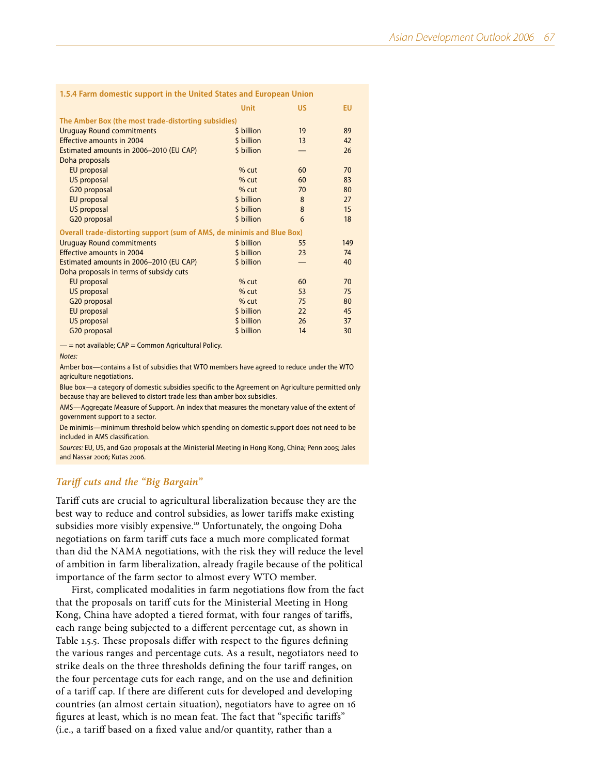|                                                                        | <b>Unit</b> | <b>US</b> | <b>EU</b> |
|------------------------------------------------------------------------|-------------|-----------|-----------|
| The Amber Box (the most trade-distorting subsidies)                    |             |           |           |
| <b>Uruguay Round commitments</b>                                       | \$ billion  | 19        | 89        |
| <b>Effective amounts in 2004</b>                                       | \$ billion  | 13        | 42        |
| Estimated amounts in 2006-2010 (EU CAP)                                | \$ billion  |           | 26        |
| Doha proposals                                                         |             |           |           |
| EU proposal                                                            | $%$ cut     | 60        | 70        |
| US proposal                                                            | $%$ cut     | 60        | 83        |
| G20 proposal                                                           | $%$ cut     | 70        | 80        |
| EU proposal                                                            | \$ billion  | 8         | 27        |
| US proposal                                                            | \$ billion  | 8         | 15        |
| G20 proposal                                                           | \$ billion  | 6         | 18        |
| Overall trade-distorting support (sum of AMS, de minimis and Blue Box) |             |           |           |
| <b>Uruguay Round commitments</b>                                       | \$ billion  | 55        | 149       |
| <b>Effective amounts in 2004</b>                                       | \$ billion  | 23        | 74        |
| Estimated amounts in 2006-2010 (EU CAP)                                | \$ billion  |           | 40        |
| Doha proposals in terms of subsidy cuts                                |             |           |           |
| EU proposal                                                            | $%$ cut     | 60        | 70        |

**1.5.4 Farm domestic support in the United States and European Union**

US proposal 35 75 G20 proposal 620 which is a set of the set of the set of the set of the set of the set of the set of the set of the set of the set of the set of the set of the set of the set of the set of the set of the set of the set of EU proposal and the set of the set of the set of the set of the set of the set of the set of the set of the set of the set of the set of the set of the set of the set of the set of the set of the set of the set of the set US proposal 37 G20 proposal 5 billion 14 30

 $-$  = not available; CAP = Common Agricultural Policy.

#### *Notes:*

Amber box—contains a list of subsidies that WTO members have agreed to reduce under the WTO agriculture negotiations.

Blue box—a category of domestic subsidies specific to the Agreement on Agriculture permitted only because thay are believed to distort trade less than amber box subsidies.

AMS—Aggregate Measure of Support. An index that measures the monetary value of the extent of government support to a sector.

De minimis—minimum threshold below which spending on domestic support does not need to be included in AMS classification.

*Sources:* EU, US, and G20 proposals at the Ministerial Meeting in Hong Kong, China; Penn 2005; Jales and Nassar 2006; Kutas 2006.

## *Tariff cuts and the "Big Bargain"*

Tariff cuts are crucial to agricultural liberalization because they are the best way to reduce and control subsidies, as lower tariffs make existing subsidies more visibly expensive.<sup>10</sup> Unfortunately, the ongoing Doha negotiations on farm tariff cuts face a much more complicated format than did the NAMA negotiations, with the risk they will reduce the level of ambition in farm liberalization, already fragile because of the political importance of the farm sector to almost every WTO member.

First, complicated modalities in farm negotiations flow from the fact that the proposals on tariff cuts for the Ministerial Meeting in Hong Kong, China have adopted a tiered format, with four ranges of tariffs, each range being subjected to a different percentage cut, as shown in Table 1.5.5. These proposals differ with respect to the figures defining the various ranges and percentage cuts. As a result, negotiators need to strike deals on the three thresholds defining the four tariff ranges, on the four percentage cuts for each range, and on the use and definition of a tariff cap. If there are different cuts for developed and developing countries (an almost certain situation), negotiators have to agree on 16 figures at least, which is no mean feat. The fact that "specific tariffs" (i.e., a tariff based on a fixed value and/or quantity, rather than a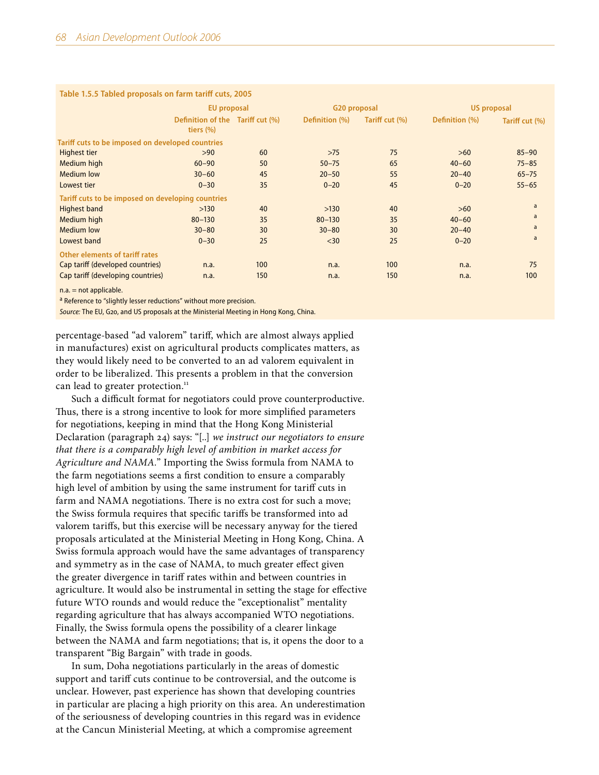| <b>Table 1.3.3 Tabled proposals on family cather cuts, 2003</b> |                                                  |     |                |                |                    |                |  |
|-----------------------------------------------------------------|--------------------------------------------------|-----|----------------|----------------|--------------------|----------------|--|
|                                                                 | <b>EU</b> proposal                               |     | G20 proposal   |                | <b>US proposal</b> |                |  |
|                                                                 | Definition of the Tariff cut (%)<br>tiers $(\%)$ |     | Definition (%) | Tariff cut (%) | Definition (%)     | Tariff cut (%) |  |
| Tariff cuts to be imposed on developed countries                |                                                  |     |                |                |                    |                |  |
| Highest tier                                                    | >90                                              | 60  | $>75$          | 75             | $>60$              | $85 - 90$      |  |
| <b>Medium high</b>                                              | $60 - 90$                                        | 50  | $50 - 75$      | 65             | $40 - 60$          | $75 - 85$      |  |
| <b>Medium</b> low                                               | $30 - 60$                                        | 45  | $20 - 50$      | 55             | $20 - 40$          | $65 - 75$      |  |
| Lowest tier                                                     | $0 - 30$                                         | 35  | $0 - 20$       | 45             | $0 - 20$           | $55 - 65$      |  |
| Tariff cuts to be imposed on developing countries               |                                                  |     |                |                |                    |                |  |
| <b>Highest band</b>                                             | >130                                             | 40  | >130           | 40             | $>60$              | a              |  |
| Medium high                                                     | $80 - 130$                                       | 35  | $80 - 130$     | 35             | $40 - 60$          | a              |  |
| <b>Medium</b> low                                               | $30 - 80$                                        | 30  | $30 - 80$      | 30             | $20 - 40$          | a              |  |
| Lowest band                                                     | $0 - 30$                                         | 25  | $30$           | 25             | $0 - 20$           | a              |  |
| <b>Other elements of tariff rates</b>                           |                                                  |     |                |                |                    |                |  |
| Cap tariff (developed countries)                                | n.a.                                             | 100 | n.a.           | 100            | n.a.               | 75             |  |
| Cap tariff (developing countries)                               | n.a.                                             | 150 | n.a.           | 150            | n.a.               | 100            |  |
| the common contract of the color between                        |                                                  |     |                |                |                    |                |  |

## **Table 1.5.5 Tabled proposals on farm tariff cuts, 2005**

 $n.a. = not applicable.$ 

a Reference to "slightly lesser reductions" without more precision.

*Source:* The EU, G20, and US proposals at the Ministerial Meeting in Hong Kong, China.

percentage-based "ad valorem" tariff, which are almost always applied in manufactures) exist on agricultural products complicates matters, as they would likely need to be converted to an ad valorem equivalent in order to be liberalized. This presents a problem in that the conversion can lead to greater protection.<sup>11</sup>

Such a difficult format for negotiators could prove counterproductive. Thus, there is a strong incentive to look for more simplified parameters for negotiations, keeping in mind that the Hong Kong Ministerial Declaration (paragraph 24) says: "[..] *we instruct our negotiators to ensure that there is a comparably high level of ambition in market access for Agriculture and NAMA.*" Importing the Swiss formula from NAMA to the farm negotiations seems a first condition to ensure a comparably high level of ambition by using the same instrument for tariff cuts in farm and NAMA negotiations. There is no extra cost for such a move; the Swiss formula requires that specific tariffs be transformed into ad valorem tariffs, but this exercise will be necessary anyway for the tiered proposals articulated at the Ministerial Meeting in Hong Kong, China. A Swiss formula approach would have the same advantages of transparency and symmetry as in the case of NAMA, to much greater effect given the greater divergence in tariff rates within and between countries in agriculture. It would also be instrumental in setting the stage for effective future WTO rounds and would reduce the "exceptionalist" mentality regarding agriculture that has always accompanied WTO negotiations. Finally, the Swiss formula opens the possibility of a clearer linkage between the NAMA and farm negotiations; that is, it opens the door to a transparent "Big Bargain" with trade in goods.

In sum, Doha negotiations particularly in the areas of domestic support and tariff cuts continue to be controversial, and the outcome is unclear. However, past experience has shown that developing countries in particular are placing a high priority on this area. An underestimation of the seriousness of developing countries in this regard was in evidence at the Cancun Ministerial Meeting, at which a compromise agreement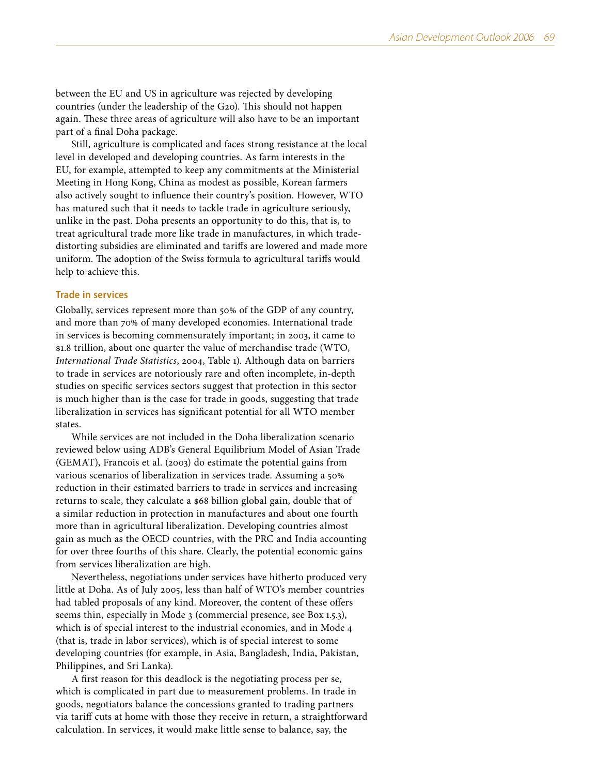between the EU and US in agriculture was rejected by developing countries (under the leadership of the G20). This should not happen again. These three areas of agriculture will also have to be an important part of a final Doha package.

Still, agriculture is complicated and faces strong resistance at the local level in developed and developing countries. As farm interests in the EU, for example, attempted to keep any commitments at the Ministerial Meeting in Hong Kong, China as modest as possible, Korean farmers also actively sought to influence their country's position. However, WTO has matured such that it needs to tackle trade in agriculture seriously, unlike in the past. Doha presents an opportunity to do this, that is, to treat agricultural trade more like trade in manufactures, in which tradedistorting subsidies are eliminated and tariffs are lowered and made more uniform. The adoption of the Swiss formula to agricultural tariffs would help to achieve this.

## **Trade in services**

Globally, services represent more than 50% of the GDP of any country, and more than 70% of many developed economies. International trade in services is becoming commensurately important; in 2003, it came to \$1.8 trillion, about one quarter the value of merchandise trade (WTO, *International Trade Statistics*, 2004, Table 1). Although data on barriers to trade in services are notoriously rare and often incomplete, in-depth studies on specific services sectors suggest that protection in this sector is much higher than is the case for trade in goods, suggesting that trade liberalization in services has significant potential for all WTO member states.

While services are not included in the Doha liberalization scenario reviewed below using ADB's General Equilibrium Model of Asian Trade (GEMAT), Francois et al. (2003) do estimate the potential gains from various scenarios of liberalization in services trade. Assuming a 50% reduction in their estimated barriers to trade in services and increasing returns to scale, they calculate a \$68 billion global gain, double that of a similar reduction in protection in manufactures and about one fourth more than in agricultural liberalization. Developing countries almost gain as much as the OECD countries, with the PRC and India accounting for over three fourths of this share. Clearly, the potential economic gains from services liberalization are high.

Nevertheless, negotiations under services have hitherto produced very little at Doha. As of July 2005, less than half of WTO's member countries had tabled proposals of any kind. Moreover, the content of these offers seems thin, especially in Mode 3 (commercial presence, see Box 1.5.3), which is of special interest to the industrial economies, and in Mode 4 (that is, trade in labor services), which is of special interest to some developing countries (for example, in Asia, Bangladesh, India, Pakistan, Philippines, and Sri Lanka).

A first reason for this deadlock is the negotiating process per se, which is complicated in part due to measurement problems. In trade in goods, negotiators balance the concessions granted to trading partners via tariff cuts at home with those they receive in return, a straightforward calculation. In services, it would make little sense to balance, say, the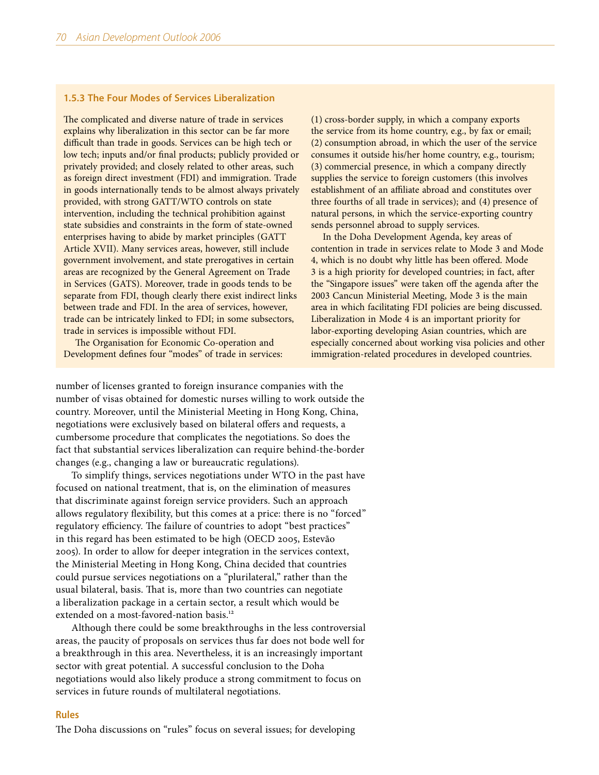## **1.5.3 The Four Modes of Services Liberalization**

The complicated and diverse nature of trade in services explains why liberalization in this sector can be far more difficult than trade in goods. Services can be high tech or low tech; inputs and/or final products; publicly provided or privately provided; and closely related to other areas, such as foreign direct investment (FDI) and immigration. Trade in goods internationally tends to be almost always privately provided, with strong GATT/WTO controls on state intervention, including the technical prohibition against state subsidies and constraints in the form of state-owned enterprises having to abide by market principles (GATT Article XVII). Many services areas, however, still include government involvement, and state prerogatives in certain areas are recognized by the General Agreement on Trade in Services (GATS). Moreover, trade in goods tends to be separate from FDI, though clearly there exist indirect links between trade and FDI. In the area of services, however, trade can be intricately linked to FDI; in some subsectors, trade in services is impossible without FDI.

The Organisation for Economic Co-operation and Development defines four "modes" of trade in services:

(1) cross-border supply, in which a company exports the service from its home country, e.g., by fax or email; (2) consumption abroad, in which the user of the service consumes it outside his/her home country, e.g., tourism; (3) commercial presence, in which a company directly supplies the service to foreign customers (this involves establishment of an affiliate abroad and constitutes over three fourths of all trade in services); and (4) presence of natural persons, in which the service-exporting country sends personnel abroad to supply services.

In the Doha Development Agenda, key areas of contention in trade in services relate to Mode 3 and Mode 4, which is no doubt why little has been offered. Mode 3 is a high priority for developed countries; in fact, after the "Singapore issues" were taken off the agenda after the 2003 Cancun Ministerial Meeting, Mode 3 is the main area in which facilitating FDI policies are being discussed. Liberalization in Mode 4 is an important priority for labor-exporting developing Asian countries, which are especially concerned about working visa policies and other immigration-related procedures in developed countries.

number of licenses granted to foreign insurance companies with the number of visas obtained for domestic nurses willing to work outside the country. Moreover, until the Ministerial Meeting in Hong Kong, China, negotiations were exclusively based on bilateral offers and requests, a cumbersome procedure that complicates the negotiations. So does the fact that substantial services liberalization can require behind-the-border changes (e.g., changing a law or bureaucratic regulations).

To simplify things, services negotiations under WTO in the past have focused on national treatment, that is, on the elimination of measures that discriminate against foreign service providers. Such an approach allows regulatory flexibility, but this comes at a price: there is no "forced" regulatory efficiency. The failure of countries to adopt "best practices" in this regard has been estimated to be high (OECD 2005, Estevão 2005). In order to allow for deeper integration in the services context, the Ministerial Meeting in Hong Kong, China decided that countries could pursue services negotiations on a "plurilateral," rather than the usual bilateral, basis. That is, more than two countries can negotiate a liberalization package in a certain sector, a result which would be extended on a most-favored-nation basis.<sup>12</sup>

Although there could be some breakthroughs in the less controversial areas, the paucity of proposals on services thus far does not bode well for a breakthrough in this area. Nevertheless, it is an increasingly important sector with great potential. A successful conclusion to the Doha negotiations would also likely produce a strong commitment to focus on services in future rounds of multilateral negotiations.

#### **Rules**

The Doha discussions on "rules" focus on several issues; for developing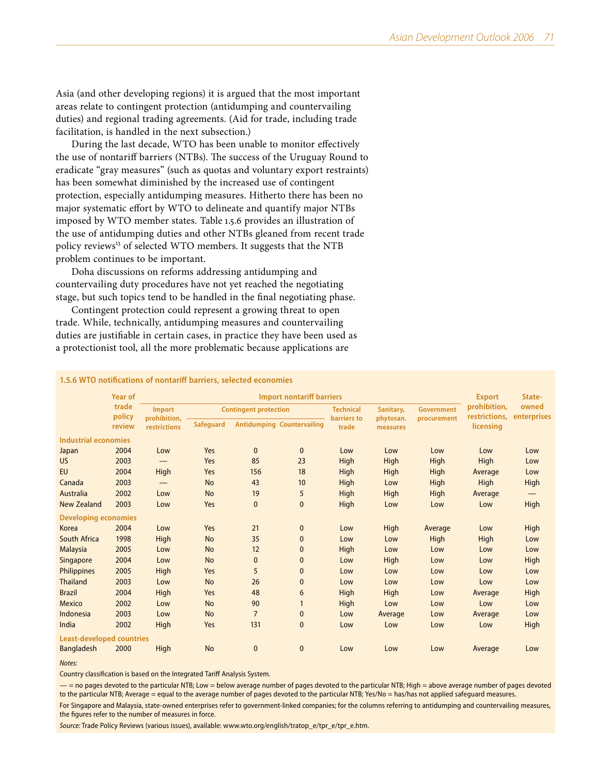Asia (and other developing regions) it is argued that the most important areas relate to contingent protection (antidumping and countervailing duties) and regional trading agreements. (Aid for trade, including trade facilitation, is handled in the next subsection.)

During the last decade, WTO has been unable to monitor effectively the use of nontariff barriers (NTBs). The success of the Uruguay Round to eradicate "gray measures" (such as quotas and voluntary export restraints) has been somewhat diminished by the increased use of contingent protection, especially antidumping measures. Hitherto there has been no major systematic effort by WTO to delineate and quantify major NTBs imposed by WTO member states. Table 1.5.6 provides an illustration of the use of antidumping duties and other NTBs gleaned from recent trade policy reviews<sup>13</sup> of selected WTO members. It suggests that the NTB problem continues to be important.

Doha discussions on reforms addressing antidumping and countervailing duty procedures have not yet reached the negotiating stage, but such topics tend to be handled in the final negotiating phase.

Contingent protection could represent a growing threat to open trade. While, technically, antidumping measures and countervailing duties are justifiable in certain cases, in practice they have been used as a protectionist tool, all the more problematic because applications are

## **1.5.6 WTO notifications of nontariff barriers, selected economies**

|                                  | <b>Year of</b>  |                               | <b>Export</b>                | State-         |                                   |                                 |                        |                   |                               |                                 |
|----------------------------------|-----------------|-------------------------------|------------------------------|----------------|-----------------------------------|---------------------------------|------------------------|-------------------|-------------------------------|---------------------------------|
|                                  | trade<br>policy | <b>Import</b><br>prohibition, | <b>Contingent protection</b> |                |                                   | <b>Technical</b><br>barriers to | Sanitary,<br>phytosan. | <b>Government</b> | prohibition.<br>restrictions, | owned<br>enterprises            |
|                                  | review          | restrictions                  | <b>Safeguard</b>             |                | <b>Antidumping Countervailing</b> | trade                           | measures               | procurement       | licensing                     |                                 |
| <b>Industrial economies</b>      |                 |                               |                              |                |                                   |                                 |                        |                   |                               |                                 |
| Japan                            | 2004            | Low                           | Yes                          | $\mathbf{0}$   | $\mathbf{0}$                      | Low                             | Low                    | Low               | Low                           | Low                             |
| US.                              | 2003            |                               | Yes                          | 85             | 23                                | High                            | High                   | <b>High</b>       | High                          | Low                             |
| <b>EU</b>                        | 2004            | High                          | Yes                          | 156            | 18                                | High                            | High                   | <b>High</b>       | Average                       | Low                             |
| Canada                           | 2003            |                               | <b>No</b>                    | 43             | 10                                | High                            | Low                    | High              | High                          | High                            |
| Australia                        | 2002            | Low                           | <b>No</b>                    | 19             | 5                                 | High                            | High                   | High              | Average                       | $\hspace{0.1mm}-\hspace{0.1mm}$ |
| <b>New Zealand</b>               | 2003            | Low                           | Yes                          | $\mathbf{0}$   | $\mathbf{0}$                      | High                            | Low                    | Low               | Low                           | High                            |
| <b>Developing economies</b>      |                 |                               |                              |                |                                   |                                 |                        |                   |                               |                                 |
| Korea                            | 2004            | Low                           | Yes                          | 21             | $\mathbf 0$                       | Low                             | High                   | Average           | Low                           | High                            |
| South Africa                     | 1998            | High                          | <b>No</b>                    | 35             | $\mathbf 0$                       | Low                             | Low                    | High              | High                          | Low                             |
| <b>Malaysia</b>                  | 2005            | Low                           | <b>No</b>                    | 12             | 0                                 | High                            | Low                    | Low               | Low                           | Low                             |
| Singapore                        | 2004            | Low                           | <b>No</b>                    | 0              | $\mathbf{0}$                      | Low                             | High                   | Low               | Low                           | High                            |
| Philippines                      | 2005            | High                          | Yes                          | 5              | 0                                 | Low                             | Low                    | Low               | Low                           | Low                             |
| <b>Thailand</b>                  | 2003            | Low                           | <b>No</b>                    | 26             | $\mathbf{0}$                      | Low                             | Low                    | Low               | Low                           | Low                             |
| <b>Brazil</b>                    | 2004            | High                          | Yes                          | 48             | 6                                 | High                            | High                   | Low               | Average                       | High                            |
| <b>Mexico</b>                    | 2002            | Low                           | <b>No</b>                    | 90             |                                   | High                            | Low                    | Low               | Low                           | Low                             |
| Indonesia                        | 2003            | Low                           | <b>No</b>                    | $\overline{7}$ | 0                                 | Low                             | Average                | Low               | Average                       | Low                             |
| India                            | 2002            | <b>High</b>                   | Yes                          | 131            | $\mathbf{0}$                      | Low                             | Low                    | Low               | Low                           | High                            |
| <b>Least-developed countries</b> |                 |                               |                              |                |                                   |                                 |                        |                   |                               |                                 |
| <b>Bangladesh</b>                | 2000            | High                          | <b>No</b>                    | $\mathbf{0}$   | $\mathbf{0}$                      | Low                             | Low                    | Low               | Average                       | Low                             |

*Notes:*

Country classification is based on the Integrated Tariff Analysis System.

 $-$  = no pages devoted to the particular NTB; Low = below average number of pages devoted to the particular NTB; High = above average number of pages devoted to the particular NTB; Average = equal to the average number of pages devoted to the particular NTB; Yes/No = has/has not applied safeguard measures.

For Singapore and Malaysia, state-owned enterprises refer to government-linked companies; for the columns referring to antidumping and countervailing measures, the figures refer to the number of measures in force.

*Source:* Trade Policy Reviews (various issues), available: [www.wto.org/english/tratop\\_e/tpr\\_e/tpr\\_e.htm](www.wto.org/english/tratop_e/tpr_e/tpr_e.htm).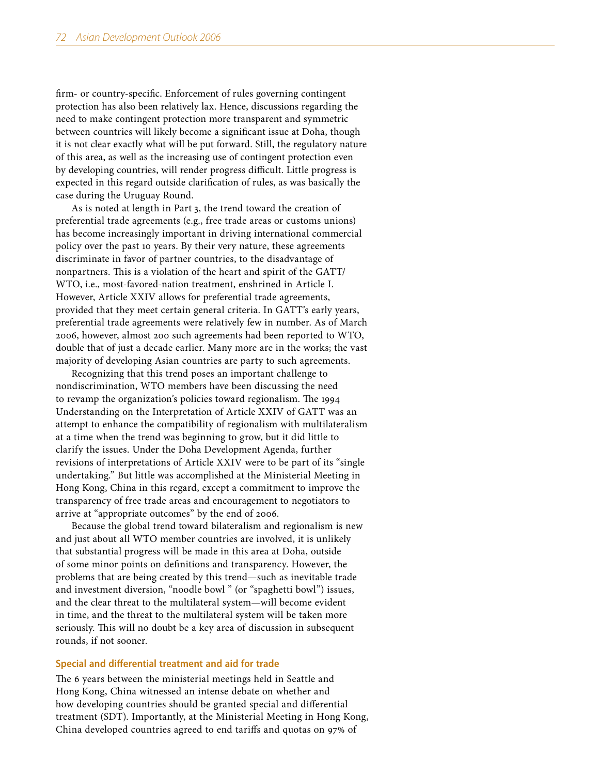firm- or country-specific. Enforcement of rules governing contingent protection has also been relatively lax. Hence, discussions regarding the need to make contingent protection more transparent and symmetric between countries will likely become a significant issue at Doha, though it is not clear exactly what will be put forward. Still, the regulatory nature of this area, as well as the increasing use of contingent protection even by developing countries, will render progress difficult. Little progress is expected in this regard outside clarification of rules, as was basically the case during the Uruguay Round.

As is noted at length in Part 3, the trend toward the creation of preferential trade agreements (e.g., free trade areas or customs unions) has become increasingly important in driving international commercial policy over the past 10 years. By their very nature, these agreements discriminate in favor of partner countries, to the disadvantage of nonpartners. This is a violation of the heart and spirit of the GATT/ WTO, i.e., most-favored-nation treatment, enshrined in Article I. However, Article XXIV allows for preferential trade agreements, provided that they meet certain general criteria. In GATT's early years, preferential trade agreements were relatively few in number. As of March 2006, however, almost 200 such agreements had been reported to WTO, double that of just a decade earlier. Many more are in the works; the vast majority of developing Asian countries are party to such agreements.

Recognizing that this trend poses an important challenge to nondiscrimination, WTO members have been discussing the need to revamp the organization's policies toward regionalism. The 1994 Understanding on the Interpretation of Article XXIV of GATT was an attempt to enhance the compatibility of regionalism with multilateralism at a time when the trend was beginning to grow, but it did little to clarify the issues. Under the Doha Development Agenda, further revisions of interpretations of Article XXIV were to be part of its "single undertaking." But little was accomplished at the Ministerial Meeting in Hong Kong, China in this regard, except a commitment to improve the transparency of free trade areas and encouragement to negotiators to arrive at "appropriate outcomes" by the end of 2006.

Because the global trend toward bilateralism and regionalism is new and just about all WTO member countries are involved, it is unlikely that substantial progress will be made in this area at Doha, outside of some minor points on definitions and transparency. However, the problems that are being created by this trend—such as inevitable trade and investment diversion, "noodle bowl " (or "spaghetti bowl") issues, and the clear threat to the multilateral system—will become evident in time, and the threat to the multilateral system will be taken more seriously. This will no doubt be a key area of discussion in subsequent rounds, if not sooner.

### **Special and differential treatment and aid for trade**

The 6 years between the ministerial meetings held in Seattle and Hong Kong, China witnessed an intense debate on whether and how developing countries should be granted special and differential treatment (SDT). Importantly, at the Ministerial Meeting in Hong Kong, China developed countries agreed to end tariffs and quotas on 97% of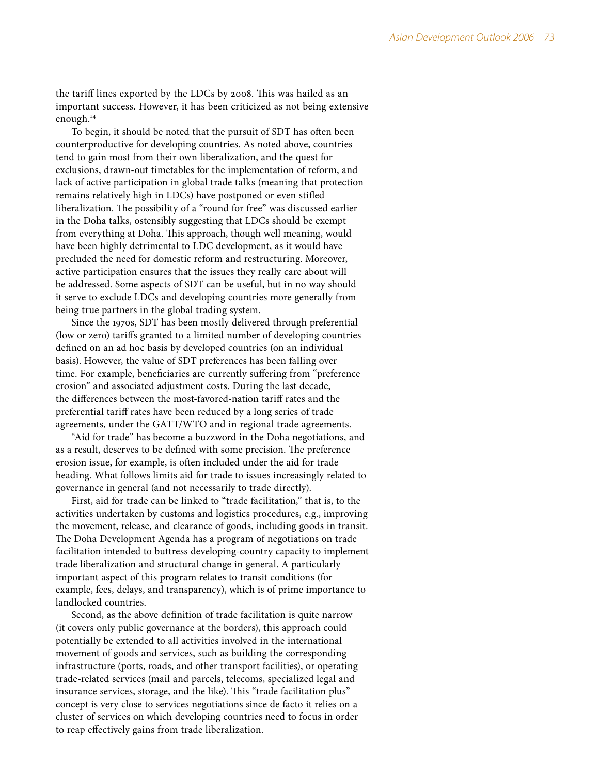the tariff lines exported by the LDCs by 2008. This was hailed as an important success. However, it has been criticized as not being extensive enough.<sup>14</sup>

To begin, it should be noted that the pursuit of SDT has often been counterproductive for developing countries. As noted above, countries tend to gain most from their own liberalization, and the quest for exclusions, drawn-out timetables for the implementation of reform, and lack of active participation in global trade talks (meaning that protection remains relatively high in LDCs) have postponed or even stifled liberalization. The possibility of a "round for free" was discussed earlier in the Doha talks, ostensibly suggesting that LDCs should be exempt from everything at Doha. This approach, though well meaning, would have been highly detrimental to LDC development, as it would have precluded the need for domestic reform and restructuring. Moreover, active participation ensures that the issues they really care about will be addressed. Some aspects of SDT can be useful, but in no way should it serve to exclude LDCs and developing countries more generally from being true partners in the global trading system.

Since the 1970s, SDT has been mostly delivered through preferential (low or zero) tariffs granted to a limited number of developing countries defined on an ad hoc basis by developed countries (on an individual basis). However, the value of SDT preferences has been falling over time. For example, beneficiaries are currently suffering from "preference erosion" and associated adjustment costs. During the last decade, the differences between the most-favored-nation tariff rates and the preferential tariff rates have been reduced by a long series of trade agreements, under the GATT/WTO and in regional trade agreements.

"Aid for trade" has become a buzzword in the Doha negotiations, and as a result, deserves to be defined with some precision. The preference erosion issue, for example, is often included under the aid for trade heading. What follows limits aid for trade to issues increasingly related to governance in general (and not necessarily to trade directly).

First, aid for trade can be linked to "trade facilitation," that is, to the activities undertaken by customs and logistics procedures, e.g., improving the movement, release, and clearance of goods, including goods in transit. The Doha Development Agenda has a program of negotiations on trade facilitation intended to buttress developing-country capacity to implement trade liberalization and structural change in general. A particularly important aspect of this program relates to transit conditions (for example, fees, delays, and transparency), which is of prime importance to landlocked countries.

Second, as the above definition of trade facilitation is quite narrow (it covers only public governance at the borders), this approach could potentially be extended to all activities involved in the international movement of goods and services, such as building the corresponding infrastructure (ports, roads, and other transport facilities), or operating trade-related services (mail and parcels, telecoms, specialized legal and insurance services, storage, and the like). This "trade facilitation plus" concept is very close to services negotiations since de facto it relies on a cluster of services on which developing countries need to focus in order to reap effectively gains from trade liberalization.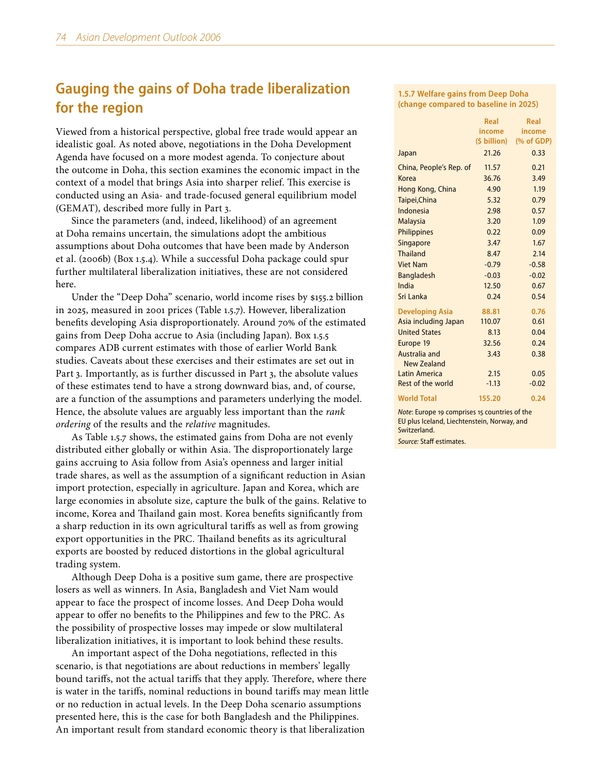# **Gauging the gains of Doha trade liberalization for the region**

Viewed from a historical perspective, global free trade would appear an idealistic goal. As noted above, negotiations in the Doha Development Agenda have focused on a more modest agenda. To conjecture about the outcome in Doha, this section examines the economic impact in the context of a model that brings Asia into sharper relief. This exercise is conducted using an Asia- and trade-focused general equilibrium model (GEMAT), described more fully in Part 3.

Since the parameters (and, indeed, likelihood) of an agreement at Doha remains uncertain, the simulations adopt the ambitious assumptions about Doha outcomes that have been made by Anderson et al. (2006b) (Box 1.5.4). While a successful Doha package could spur further multilateral liberalization initiatives, these are not considered here.

Under the "Deep Doha" scenario, world income rises by \$155.2 billion in 2025, measured in 2001 prices (Table 1.5.7). However, liberalization benefits developing Asia disproportionately. Around 70% of the estimated gains from Deep Doha accrue to Asia (including Japan). Box 1.5.5 compares ADB current estimates with those of earlier World Bank studies. Caveats about these exercises and their estimates are set out in Part 3. Importantly, as is further discussed in Part 3, the absolute values of these estimates tend to have a strong downward bias, and, of course, are a function of the assumptions and parameters underlying the model. Hence, the absolute values are arguably less important than the *rank ordering* of the results and the *relative* magnitudes.

As Table 1.5.7 shows, the estimated gains from Doha are not evenly distributed either globally or within Asia. The disproportionately large gains accruing to Asia follow from Asia's openness and larger initial trade shares, as well as the assumption of a significant reduction in Asian import protection, especially in agriculture. Japan and Korea, which are large economies in absolute size, capture the bulk of the gains. Relative to income, Korea and Thailand gain most. Korea benefits significantly from a sharp reduction in its own agricultural tariffs as well as from growing export opportunities in the PRC. Thailand benefits as its agricultural exports are boosted by reduced distortions in the global agricultural trading system.

Although Deep Doha is a positive sum game, there are prospective losers as well as winners. In Asia, Bangladesh and Viet Nam would appear to face the prospect of income losses. And Deep Doha would appear to offer no benefits to the Philippines and few to the PRC. As the possibility of prospective losses may impede or slow multilateral liberalization initiatives, it is important to look behind these results.

An important aspect of the Doha negotiations, reflected in this scenario, is that negotiations are about reductions in members' legally bound tariffs, not the actual tariffs that they apply. Therefore, where there is water in the tariffs, nominal reductions in bound tariffs may mean little or no reduction in actual levels. In the Deep Doha scenario assumptions presented here, this is the case for both Bangladesh and the Philippines. An important result from standard economic theory is that liberalization

**1.5.7 Welfare gains from Deep Doha (change compared to baseline in 2025)**

|                                     | <b>Real</b> | Real                    |
|-------------------------------------|-------------|-------------------------|
|                                     | income      | income                  |
|                                     |             | (\$ billion) (% of GDP) |
| Japan                               | 21.26       | 0.33                    |
| China, People's Rep. of             | 11.57       | 0.21                    |
| Korea                               | 36.76       | 3.49                    |
| Hong Kong, China                    | 4.90        | 1.19                    |
| Taipei, China                       | 5.32        | 0.79                    |
| Indonesia                           | 2.98        | 0.57                    |
| <b>Malaysia</b>                     | 3.20        | 1.09                    |
| Philippines                         | 0.22        | 0.09                    |
| Singapore                           | 3.47        | 1.67                    |
| <b>Thailand</b>                     | 8.47        | 2.14                    |
| <b>Viet Nam</b>                     | $-0.79$     | $-0.58$                 |
| <b>Bangladesh</b>                   | $-0.03$     | $-0.02$                 |
| India                               | 12.50       | 0.67                    |
| Sri Lanka                           | 0.24        | 0.54                    |
| <b>Developing Asia</b>              | 88.81       | 0.76                    |
| Asia including Japan                | 110.07      | 0.61                    |
| <b>United States</b>                | 8.13        | 0.04                    |
| Europe 19                           | 32.56       | 0.24                    |
| Australia and<br><b>New Zealand</b> | 3.43        | 0.38                    |
| Latin America                       | 2.15        | 0.05                    |
| Rest of the world                   | $-1.13$     | $-0.02$                 |
| <b>World Total</b>                  | 155.20      | 0.24                    |

*Note*: Europe 19 comprises 15 countries of the EU plus Iceland, Liechtenstein, Norway, and Switzerland.

*Source:* Staff estimates.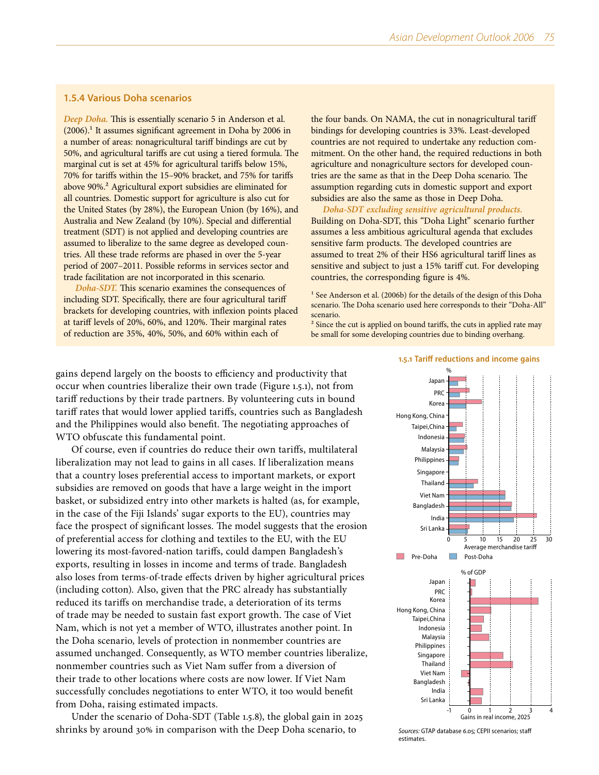## **1.5.4 Various Doha scenarios**

*Deep Doha.* This is essentially scenario 5 in Anderson et al.  $(2006).$ <sup>1</sup> It assumes significant agreement in Doha by 2006 in a number of areas: nonagricultural tariff bindings are cut by 50%, and agricultural tariffs are cut using a tiered formula. The marginal cut is set at 45% for agricultural tariffs below 15%, 70% for tariffs within the 15–90% bracket, and 75% for tariffs above 90%.<sup>2</sup> Agricultural export subsidies are eliminated for all countries. Domestic support for agriculture is also cut for the United States (by 28%), the European Union (by 16%), and Australia and New Zealand (by 10%). Special and differential treatment (SDT) is not applied and developing countries are assumed to liberalize to the same degree as developed countries. All these trade reforms are phased in over the 5-year period of 2007–2011. Possible reforms in services sector and trade facilitation are not incorporated in this scenario.

*Doha-SDT.* This scenario examines the consequences of including SDT. Specifically, there are four agricultural tariff brackets for developing countries, with inflexion points placed at tariff levels of 20%, 60%, and 120%. Their marginal rates of reduction are 35%, 40%, 50%, and 60% within each of

the four bands. On NAMA, the cut in nonagricultural tariff bindings for developing countries is 33%. Least-developed countries are not required to undertake any reduction commitment. On the other hand, the required reductions in both agriculture and nonagriculture sectors for developed countries are the same as that in the Deep Doha scenario. The assumption regarding cuts in domestic support and export subsidies are also the same as those in Deep Doha.

*Doha-SDT excluding sensitive agricultural products.*  Building on Doha-SDT, this "Doha Light" scenario further assumes a less ambitious agricultural agenda that excludes sensitive farm products. The developed countries are assumed to treat 2% of their HS6 agricultural tariff lines as sensitive and subject to just a 15% tariff cut. For developing countries, the corresponding figure is 4%.

<sup>1</sup> See Anderson et al. (2006b) for the details of the design of this Doha scenario. The Doha scenario used here corresponds to their "Doha-All" scenario.

<sup>2</sup> Since the cut is applied on bound tariffs, the cuts in applied rate may be small for some developing countries due to binding overhang.

gains depend largely on the boosts to efficiency and productivity that occur when countries liberalize their own trade (Figure 1.5.1), not from tariff reductions by their trade partners. By volunteering cuts in bound tariff rates that would lower applied tariffs, countries such as Bangladesh and the Philippines would also benefit. The negotiating approaches of WTO obfuscate this fundamental point.

Of course, even if countries do reduce their own tariffs, multilateral liberalization may not lead to gains in all cases. If liberalization means that a country loses preferential access to important markets, or export subsidies are removed on goods that have a large weight in the import basket, or subsidized entry into other markets is halted (as, for example, in the case of the Fiji Islands' sugar exports to the EU), countries may face the prospect of significant losses. The model suggests that the erosion of preferential access for clothing and textiles to the EU, with the EU lowering its most-favored-nation tariffs, could dampen Bangladesh's exports, resulting in losses in income and terms of trade. Bangladesh also loses from terms-of-trade effects driven by higher agricultural prices (including cotton). Also, given that the PRC already has substantially reduced its tariffs on merchandise trade, a deterioration of its terms of trade may be needed to sustain fast export growth. The case of Viet Nam, which is not yet a member of WTO, illustrates another point. In the Doha scenario*,* levels of protection in nonmember countries are assumed unchanged. Consequently, as WTO member countries liberalize, nonmember countries such as Viet Nam suffer from a diversion of their trade to other locations where costs are now lower. If Viet Nam successfully concludes negotiations to enter WTO, it too would benefit from Doha, raising estimated impacts.

Under the scenario of Doha-SDT (Table 1.5.8), the global gain in 2025 shrinks by around 30% in comparison with the Deep Doha scenario, to

## **1.5.1 Tariff reductions and income gains**



*Sources:* GTAP database 6.05; CEPII scenarios; staff estimates.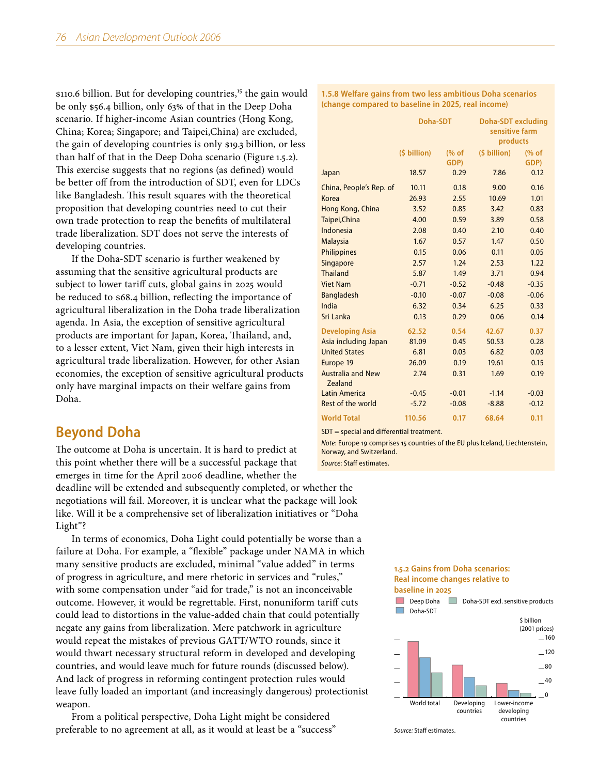$$110.6$  billion. But for developing countries,<sup>15</sup> the gain would be only \$56.4 billion, only 63% of that in the Deep Doha scenario. If higher-income Asian countries (Hong Kong, China; Korea; Singapore; and Taipei,China) are excluded, the gain of developing countries is only \$19.3 billion, or less than half of that in the Deep Doha scenario (Figure 1.5.2). This exercise suggests that no regions (as defined) would be better off from the introduction of SDT, even for LDCs like Bangladesh. This result squares with the theoretical proposition that developing countries need to cut their own trade protection to reap the benefits of multilateral trade liberalization. SDT does not serve the interests of developing countries.

If the Doha-SDT scenario is further weakened by assuming that the sensitive agricultural products are subject to lower tariff cuts, global gains in 2025 would be reduced to \$68.4 billion, reflecting the importance of agricultural liberalization in the Doha trade liberalization agenda. In Asia, the exception of sensitive agricultural products are important for Japan, Korea, Thailand, and, to a lesser extent, Viet Nam, given their high interests in agricultural trade liberalization. However, for other Asian economies, the exception of sensitive agricultural products only have marginal impacts on their welfare gains from Doha.

# **Beyond Doha**

The outcome at Doha is uncertain. It is hard to predict at this point whether there will be a successful package that emerges in time for the April 2006 deadline, whether the

deadline will be extended and subsequently completed, or whether the negotiations will fail. Moreover, it is unclear what the package will look like. Will it be a comprehensive set of liberalization initiatives or "Doha Light"?

In terms of economics, Doha Light could potentially be worse than a failure at Doha. For example, a "flexible" package under NAMA in which many sensitive products are excluded, minimal "value added" in terms of progress in agriculture, and mere rhetoric in services and "rules," with some compensation under "aid for trade," is not an inconceivable outcome. However, it would be regrettable. First, nonuniform tariff cuts could lead to distortions in the value-added chain that could potentially negate any gains from liberalization. Mere patchwork in agriculture would repeat the mistakes of previous GATT/WTO rounds, since it would thwart necessary structural reform in developed and developing countries, and would leave much for future rounds (discussed below). And lack of progress in reforming contingent protection rules would leave fully loaded an important (and increasingly dangerous) protectionist weapon.

From a political perspective, Doha Light might be considered preferable to no agreement at all, as it would at least be a "success"

**1.5.8 Welfare gains from two less ambitious Doha scenarios (change compared to baseline in 2025, real income)**

|                                     | Doha-SDT     |               | <b>Doha-SDT</b> excluding<br>sensitive farm<br>products |               |  |
|-------------------------------------|--------------|---------------|---------------------------------------------------------|---------------|--|
|                                     | (\$ billion) | (% of<br>GDP) | $(5 billion)$                                           | (% of<br>GDP) |  |
| Japan                               | 18.57        | 0.29          | 7.86                                                    | 0.12          |  |
| China, People's Rep. of             | 10.11        | 0.18          | 9.00                                                    | 0.16          |  |
| Korea                               | 26.93        | 2.55          | 10.69                                                   | 1.01          |  |
| Hong Kong, China                    | 3.52         | 0.85          | 3.42                                                    | 0.83          |  |
| Taipei, China                       | 4.00         | 0.59          | 3.89                                                    | 0.58          |  |
| Indonesia                           | 2.08         | 0.40          | 2.10                                                    | 0.40          |  |
| <b>Malaysia</b>                     | 1.67         | 0.57          | 1.47                                                    | 0.50          |  |
| Philippines                         | 0.15         | 0.06          | 0.11                                                    | 0.05          |  |
| Singapore                           | 2.57         | 1.24          | 2.53                                                    | 1.22          |  |
| <b>Thailand</b>                     | 5.87         | 1.49          | 3.71                                                    | 0.94          |  |
| <b>Viet Nam</b>                     | $-0.71$      | $-0.52$       | $-0.48$                                                 | $-0.35$       |  |
| <b>Bangladesh</b>                   | $-0.10$      | $-0.07$       | $-0.08$                                                 | $-0.06$       |  |
| India                               | 6.32         | 0.34          | 6.25                                                    | 0.33          |  |
| Sri Lanka                           | 0.13         | 0.29          | 0.06                                                    | 0.14          |  |
| <b>Developing Asia</b>              | 62.52        | 0.54          | 42.67                                                   | 0.37          |  |
| Asia including Japan                | 81.09        | 0.45          | 50.53                                                   | 0.28          |  |
| <b>United States</b>                | 6.81         | 0.03          | 6.82                                                    | 0.03          |  |
| Europe 19                           | 26.09        | 0.19          | 19.61                                                   | 0.15          |  |
| <b>Australia and New</b><br>Zealand | 2.74         | 0.31          | 1.69                                                    | 0.19          |  |
| Latin America                       | $-0.45$      | $-0.01$       | $-1.14$                                                 | $-0.03$       |  |
| Rest of the world                   | $-5.72$      | $-0.08$       | $-8.88$                                                 | $-0.12$       |  |
| <b>World Total</b>                  | 110.56       | 0.17          | 68.64                                                   | 0.11          |  |

SDT = special and differential treatment.

*Note*: Europe 19 comprises 15 countries of the EU plus Iceland, Liechtenstein, Norway, and Switzerland.

*Source*: Staff estimates.

## **1.5.2 Gains from Doha scenarios: Real income changes relative to**



*Source:* Staff estimates.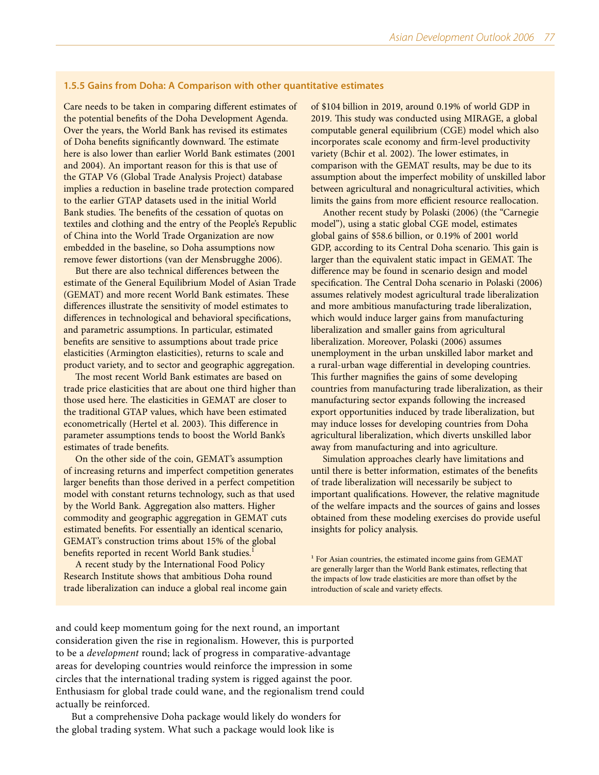## **1.5.5 Gains from Doha: A Comparison with other quantitative estimates**

Care needs to be taken in comparing different estimates of the potential benefits of the Doha Development Agenda. Over the years, the World Bank has revised its estimates of Doha benefits significantly downward. The estimate here is also lower than earlier World Bank estimates (2001 and 2004). An important reason for this is that use of the GTAP V6 (Global Trade Analysis Project) database implies a reduction in baseline trade protection compared to the earlier GTAP datasets used in the initial World Bank studies. The benefits of the cessation of quotas on textiles and clothing and the entry of the People's Republic of China into the World Trade Organization are now embedded in the baseline, so Doha assumptions now remove fewer distortions (van der Mensbrugghe 2006).

But there are also technical differences between the estimate of the General Equilibrium Model of Asian Trade (GEMAT) and more recent World Bank estimates. These differences illustrate the sensitivity of model estimates to differences in technological and behavioral specifications, and parametric assumptions. In particular, estimated benefits are sensitive to assumptions about trade price elasticities (Armington elasticities), returns to scale and product variety, and to sector and geographic aggregation.

The most recent World Bank estimates are based on trade price elasticities that are about one third higher than those used here. The elasticities in GEMAT are closer to the traditional GTAP values, which have been estimated econometrically (Hertel et al. 2003). This difference in parameter assumptions tends to boost the World Bank's estimates of trade benefits.

On the other side of the coin, GEMAT's assumption of increasing returns and imperfect competition generates larger benefits than those derived in a perfect competition model with constant returns technology, such as that used by the World Bank. Aggregation also matters. Higher commodity and geographic aggregation in GEMAT cuts estimated benefits. For essentially an identical scenario, GEMAT's construction trims about 15% of the global benefits reported in recent World Bank studies.<sup>1</sup>

A recent study by the International Food Policy Research Institute shows that ambitious Doha round trade liberalization can induce a global real income gain of \$104 billion in 2019, around 0.19% of world GDP in 2019. This study was conducted using MIRAGE, a global computable general equilibrium (CGE) model which also incorporates scale economy and firm-level productivity variety (Bchir et al. 2002). The lower estimates, in comparison with the GEMAT results, may be due to its assumption about the imperfect mobility of unskilled labor between agricultural and nonagricultural activities, which limits the gains from more efficient resource reallocation.

Another recent study by Polaski (2006) (the "Carnegie model"), using a static global CGE model, estimates global gains of \$58.6 billion, or 0.19% of 2001 world GDP, according to its Central Doha scenario. This gain is larger than the equivalent static impact in GEMAT. The difference may be found in scenario design and model specification. The Central Doha scenario in Polaski (2006) assumes relatively modest agricultural trade liberalization and more ambitious manufacturing trade liberalization, which would induce larger gains from manufacturing liberalization and smaller gains from agricultural liberalization. Moreover, Polaski (2006) assumes unemployment in the urban unskilled labor market and a rural-urban wage differential in developing countries. This further magnifies the gains of some developing countries from manufacturing trade liberalization, as their manufacturing sector expands following the increased export opportunities induced by trade liberalization, but may induce losses for developing countries from Doha agricultural liberalization, which diverts unskilled labor away from manufacturing and into agriculture.

Simulation approaches clearly have limitations and until there is better information, estimates of the benefits of trade liberalization will necessarily be subject to important qualifications. However, the relative magnitude of the welfare impacts and the sources of gains and losses obtained from these modeling exercises do provide useful insights for policy analysis.

<sup>1</sup> For Asian countries, the estimated income gains from GEMAT are generally larger than the World Bank estimates, reflecting that the impacts of low trade elasticities are more than offset by the introduction of scale and variety effects.

and could keep momentum going for the next round, an important consideration given the rise in regionalism. However, this is purported to be a *development* round; lack of progress in comparative-advantage areas for developing countries would reinforce the impression in some circles that the international trading system is rigged against the poor. Enthusiasm for global trade could wane, and the regionalism trend could actually be reinforced.

But a comprehensive Doha package would likely do wonders for the global trading system. What such a package would look like is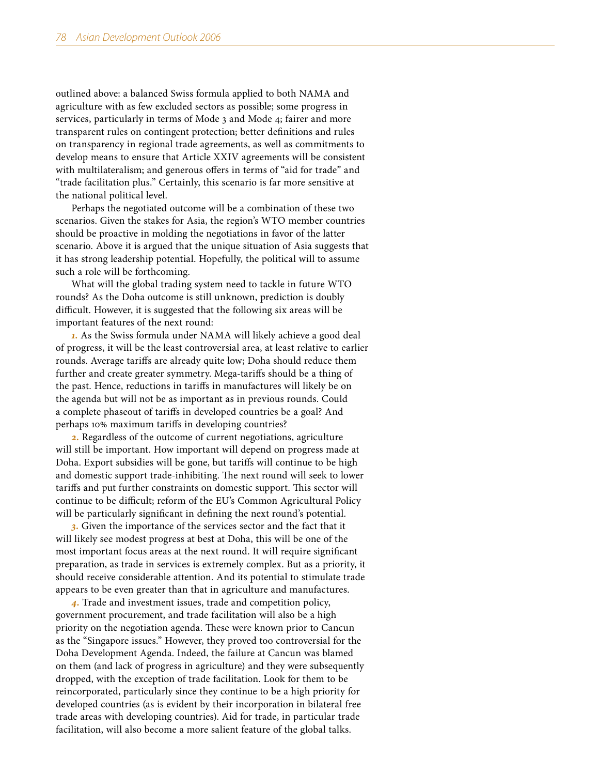outlined above: a balanced Swiss formula applied to both NAMA and agriculture with as few excluded sectors as possible; some progress in services, particularly in terms of Mode 3 and Mode 4; fairer and more transparent rules on contingent protection; better definitions and rules on transparency in regional trade agreements, as well as commitments to develop means to ensure that Article XXIV agreements will be consistent with multilateralism; and generous offers in terms of "aid for trade" and "trade facilitation plus." Certainly, this scenario is far more sensitive at the national political level.

Perhaps the negotiated outcome will be a combination of these two scenarios. Given the stakes for Asia, the region's WTO member countries should be proactive in molding the negotiations in favor of the latter scenario. Above it is argued that the unique situation of Asia suggests that it has strong leadership potential. Hopefully, the political will to assume such a role will be forthcoming.

What will the global trading system need to tackle in future WTO rounds? As the Doha outcome is still unknown, prediction is doubly difficult. However, it is suggested that the following six areas will be important features of the next round:

*1.* As the Swiss formula under NAMA will likely achieve a good deal of progress, it will be the least controversial area, at least relative to earlier rounds. Average tariffs are already quite low; Doha should reduce them further and create greater symmetry. Mega-tariffs should be a thing of the past. Hence, reductions in tariffs in manufactures will likely be on the agenda but will not be as important as in previous rounds. Could a complete phaseout of tariffs in developed countries be a goal? And perhaps 10% maximum tariffs in developing countries?

*2.* Regardless of the outcome of current negotiations, agriculture will still be important. How important will depend on progress made at Doha. Export subsidies will be gone, but tariffs will continue to be high and domestic support trade-inhibiting. The next round will seek to lower tariffs and put further constraints on domestic support. This sector will continue to be difficult; reform of the EU's Common Agricultural Policy will be particularly significant in defining the next round's potential.

*3.* Given the importance of the services sector and the fact that it will likely see modest progress at best at Doha, this will be one of the most important focus areas at the next round. It will require significant preparation, as trade in services is extremely complex. But as a priority, it should receive considerable attention. And its potential to stimulate trade appears to be even greater than that in agriculture and manufactures.

*4.* Trade and investment issues, trade and competition policy, government procurement, and trade facilitation will also be a high priority on the negotiation agenda. These were known prior to Cancun as the "Singapore issues." However, they proved too controversial for the Doha Development Agenda. Indeed, the failure at Cancun was blamed on them (and lack of progress in agriculture) and they were subsequently dropped, with the exception of trade facilitation. Look for them to be reincorporated, particularly since they continue to be a high priority for developed countries (as is evident by their incorporation in bilateral free trade areas with developing countries). Aid for trade, in particular trade facilitation, will also become a more salient feature of the global talks.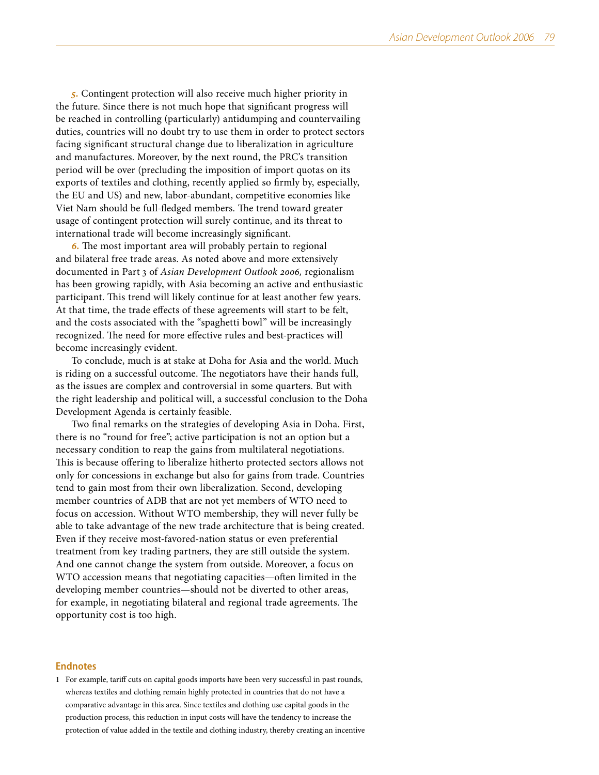*5.* Contingent protection will also receive much higher priority in the future. Since there is not much hope that significant progress will be reached in controlling (particularly) antidumping and countervailing duties, countries will no doubt try to use them in order to protect sectors facing significant structural change due to liberalization in agriculture and manufactures. Moreover, by the next round, the PRC's transition period will be over (precluding the imposition of import quotas on its exports of textiles and clothing, recently applied so firmly by, especially, the EU and US) and new, labor-abundant, competitive economies like Viet Nam should be full-fledged members. The trend toward greater usage of contingent protection will surely continue, and its threat to international trade will become increasingly significant.

*6.* The most important area will probably pertain to regional and bilateral free trade areas. As noted above and more extensively documented in Part 3 of *Asian Development Outlook 2006,* regionalism has been growing rapidly, with Asia becoming an active and enthusiastic participant. This trend will likely continue for at least another few years. At that time, the trade effects of these agreements will start to be felt, and the costs associated with the "spaghetti bowl" will be increasingly recognized. The need for more effective rules and best-practices will become increasingly evident.

To conclude, much is at stake at Doha for Asia and the world. Much is riding on a successful outcome. The negotiators have their hands full, as the issues are complex and controversial in some quarters. But with the right leadership and political will, a successful conclusion to the Doha Development Agenda is certainly feasible.

Two final remarks on the strategies of developing Asia in Doha. First, there is no "round for free"; active participation is not an option but a necessary condition to reap the gains from multilateral negotiations. This is because offering to liberalize hitherto protected sectors allows not only for concessions in exchange but also for gains from trade. Countries tend to gain most from their own liberalization. Second, developing member countries of ADB that are not yet members of WTO need to focus on accession. Without WTO membership, they will never fully be able to take advantage of the new trade architecture that is being created. Even if they receive most-favored-nation status or even preferential treatment from key trading partners, they are still outside the system. And one cannot change the system from outside. Moreover, a focus on WTO accession means that negotiating capacities—often limited in the developing member countries—should not be diverted to other areas, for example, in negotiating bilateral and regional trade agreements. The opportunity cost is too high.

## **Endnotes**

1 For example, tariff cuts on capital goods imports have been very successful in past rounds, whereas textiles and clothing remain highly protected in countries that do not have a comparative advantage in this area. Since textiles and clothing use capital goods in the production process, this reduction in input costs will have the tendency to increase the protection of value added in the textile and clothing industry, thereby creating an incentive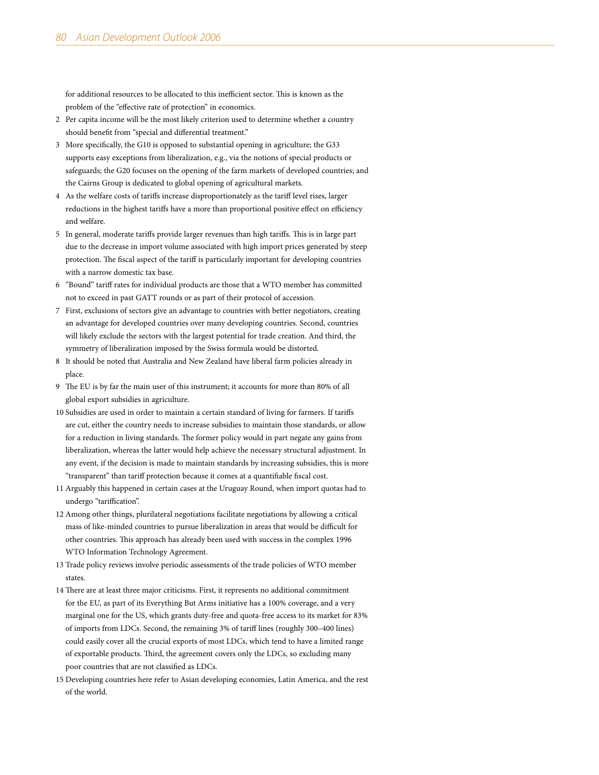for additional resources to be allocated to this inefficient sector. This is known as the problem of the "effective rate of protection" in economics.

- 2 Per capita income will be the most likely criterion used to determine whether a country should benefit from "special and differential treatment."
- 3 More specifically, the G10 is opposed to substantial opening in agriculture; the G33 supports easy exceptions from liberalization, e.g., via the notions of special products or safeguards; the G20 focuses on the opening of the farm markets of developed countries; and the Cairns Group is dedicated to global opening of agricultural markets.
- 4 As the welfare costs of tariffs increase disproportionately as the tariff level rises, larger reductions in the highest tariffs have a more than proportional positive effect on efficiency and welfare.
- 5 In general, moderate tariffs provide larger revenues than high tariffs. This is in large part due to the decrease in import volume associated with high import prices generated by steep protection. The fiscal aspect of the tariff is particularly important for developing countries with a narrow domestic tax base.
- 6 "Bound" tariff rates for individual products are those that a WTO member has committed not to exceed in past GATT rounds or as part of their protocol of accession.
- 7 First, exclusions of sectors give an advantage to countries with better negotiators, creating an advantage for developed countries over many developing countries. Second, countries will likely exclude the sectors with the largest potential for trade creation. And third, the symmetry of liberalization imposed by the Swiss formula would be distorted.
- 8 It should be noted that Australia and New Zealand have liberal farm policies already in place.
- 9 The EU is by far the main user of this instrument; it accounts for more than 80% of all global export subsidies in agriculture.
- 10 Subsidies are used in order to maintain a certain standard of living for farmers. If tariffs are cut, either the country needs to increase subsidies to maintain those standards, or allow for a reduction in living standards. The former policy would in part negate any gains from liberalization, whereas the latter would help achieve the necessary structural adjustment. In any event, if the decision is made to maintain standards by increasing subsidies, this is more "transparent" than tariff protection because it comes at a quantifiable fiscal cost.
- 11 Arguably this happened in certain cases at the Uruguay Round, when import quotas had to undergo "tariffication".
- 12 Among other things, plurilateral negotiations facilitate negotiations by allowing a critical mass of like-minded countries to pursue liberalization in areas that would be difficult for other countries. This approach has already been used with success in the complex 1996 WTO Information Technology Agreement.
- 13 Trade policy reviews involve periodic assessments of the trade policies of WTO member states.
- 14 There are at least three major criticisms. First, it represents no additional commitment for the EU, as part of its Everything But Arms initiative has a 100% coverage, and a very marginal one for the US, which grants duty-free and quota-free access to its market for 83% of imports from LDCs. Second, the remaining 3% of tariff lines (roughly 300–400 lines) could easily cover all the crucial exports of most LDCs, which tend to have a limited range of exportable products. Third, the agreement covers only the LDCs, so excluding many poor countries that are not classified as LDCs.
- 15 Developing countries here refer to Asian developing economies, Latin America, and the rest of the world.